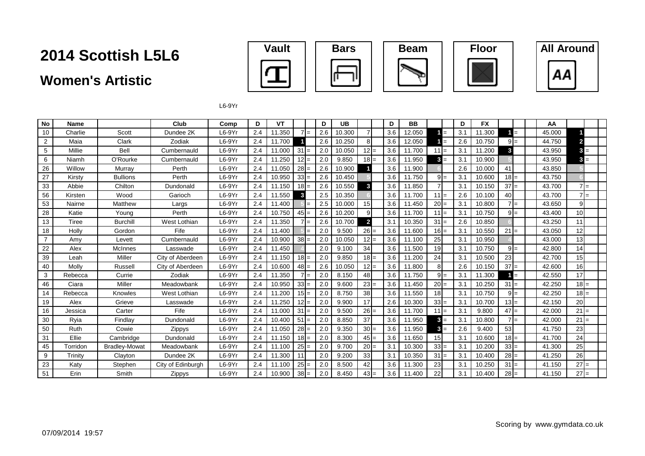### **Women's Artistic**



**All Around** 



 $L6-9Yr$ 

| No             | Name     |                      | Club              | Comp     | D   | VT     |              |     | D   | <b>UB</b> |                | D   | <b>BB</b> |                 |     | D   | <b>FX</b> |        |       | AA     |                 |  |
|----------------|----------|----------------------|-------------------|----------|-----|--------|--------------|-----|-----|-----------|----------------|-----|-----------|-----------------|-----|-----|-----------|--------|-------|--------|-----------------|--|
| 10             | Charlie  | Scott                | Dundee 2K         | $L6-9Yr$ | 2.4 | 11.350 | $7 =$        |     | 2.6 | 10.300    |                | 3.6 | 12.050    |                 | $=$ | 3.1 | 11.300    |        | $1 =$ | 45.000 |                 |  |
| $\overline{2}$ | Maia     | Clark                | Zodiak            | $L6-9Yr$ | 2.4 | 11.700 |              |     | 2.6 | 10.250    |                | 3.6 | 12.050    |                 | $=$ | 2.6 | 10.750    |        | $9 =$ | 44.750 | $\overline{2}$  |  |
| 5              | Millie   | Bell                 | Cumbernauld       | $L6-9Yr$ | 2.4 | 11.000 | 31           |     | 2.0 | 10.050    | $12 =$         | 3.6 | 11.700    | $11 =$          |     | 3.1 | 11.200    | 3      |       | 43.950 | $3 =$           |  |
| 6              | Niamh    | O'Rourke             | Cumbernauld       | $L6-9Yr$ | 2.4 | 11.250 | $12 =$       |     | 2.0 | 9.850     | $18 =$         | 3.6 | 11.950    | $3 =$           |     | 3.1 | 10.900    |        |       | 43.950 | $3 =$           |  |
| 26             | Willow   | Murray               | Perth             | $L6-9Yr$ | 2.4 | 11.050 | $28 =$       |     | 2.6 | 10.900    |                | 3.6 | 11.900    |                 |     | 2.6 | 10.000    | 41     |       | 43.850 |                 |  |
| 27             | Kirsty   | <b>Bullions</b>      | Perth             | $L6-9Yr$ | 2.4 | 10.950 | $33 =$       |     | 2.6 | 10.450    |                | 3.6 | 11.750    | $9 =$           |     | 3.1 | 10.600    | $18 =$ |       | 43.750 |                 |  |
| 33             | Abbie    | Chilton              | Dundonald         | $L6-9Yr$ | 2.4 | 11.150 | $18 =$       |     | 2.6 | 10.550    | 3              | 3.6 | 11.850    |                 |     | 3.1 | 10.150    | $37 =$ |       | 43.700 | $7 =$           |  |
| 56             | Kirsten  | Wood                 | Garioch           | $L6-9Yr$ | 2.4 | 11.550 | $\mathbf{3}$ |     | 2.5 | 10.350    |                | 3.6 | 11.700    | $11 =$          |     | 2.6 | 10.100    | 40     |       | 43.700 | $7 =$           |  |
| 53             | Nairne   | Matthew              | Largs             | $L6-9Yr$ | 2.4 | 11.400 |              |     | 2.5 | 10.000    | 15             | 3.6 | 11.450    | $20 =$          |     | 3.1 | 10.800    |        | $7 =$ | 43.650 | 9               |  |
| 28             | Katie    | Young                | Perth             | $L6-9Yr$ | 2.4 | 10.750 | $45 =$       |     | 2.6 | 10.200    | 9              | 3.6 | 11.700    | $11 =$          |     | 3.1 | 10.750    |        | $9 =$ | 43.400 | 10 <sup>1</sup> |  |
| 13             | Tiree    | <b>Burchill</b>      | West Lothian      | $L6-9Yr$ | 2.4 | 11.350 |              | l=  | 2.6 | 10.700    | $\overline{2}$ | 3.1 | 10.350    | $31 =$          |     | 2.6 | 10.850    |        |       | 43.250 | 11              |  |
| 18             | Holly    | Gordon               | Fife              | $L6-9Yr$ | 2.4 | 11.400 |              |     | 2.0 | 9.500     | $26 =$         | 3.6 | 11.600    | $16 =$          |     | 3.1 | 10.550    | $21 =$ |       | 43.050 | 12              |  |
| $\overline{7}$ | Amy      | Levett               | Cumbernauld       | $L6-9Yr$ | 2.4 | 10.900 | $38 =$       |     | 2.0 | 10.050    | $12 =$         | 3.6 | 11.100    | 25              |     | 3.1 | 10.950    |        |       | 43.000 | 13              |  |
| 22             | Alex     | McInnes              | Lasswade          | $L6-9Yr$ | 2.4 | 11.450 |              |     | 2.0 | 9.100     | 34             | 3.6 | 11.500    | 19              |     | 3.1 | 10.750    |        | $9 =$ | 42.800 | 14              |  |
| 39             | Leah     | Miller               | City of Aberdeen  | $L6-9Yr$ | 2.4 | 11.150 | $18 =$       |     | 2.0 | 9.850     | $18 =$         | 3.6 | 11.200    | 24              |     | 3.1 | 10.500    | 23     |       | 42.700 | 15              |  |
| 40             | Molly    | Russell              | City of Aberdeen  | $L6-9Yr$ | 2.4 | 10.600 | $48 =$       |     | 2.6 | 10.050    | $12 =$         | 3.6 | 11.800    |                 |     | 2.6 | 10.150    | $37 =$ |       | 42.600 | 16              |  |
| 3              | Rebecca  | Currie               | Zodiak            | $L6-9Yr$ | 2.4 | 11.350 |              |     | 2.0 | 8.150     | 48             | 3.6 | 11.750    | $9 =$           |     | 3.1 | 11.300    |        | $=$   | 42.550 | 17              |  |
| 46             | Ciara    | Miller               | Meadowbank        | $L6-9Yr$ | 2.4 | 10.950 | $33 =$       |     | 2.0 | 9.600     | $23 =$         | 3.6 | 11.450    | $20 =$          |     | 3.1 | 10.250    | $31 =$ |       | 42.250 | $18 =$          |  |
| 14             | Rebecca  | Knowles              | West Lothian      | $L6-9Yr$ | 2.4 | 11.200 | $15 =$       |     | 2.0 | 8.750     | 38             | 3.6 | 11.550    | 18              |     | 3.1 | 10.750    |        | $9 =$ | 42.250 | $18 =$          |  |
| 19             | Alex     | Grieve               | Lasswade          | $L6-9Yr$ | 2.4 | 11.250 | $12 =$       |     | 2.0 | 9.900     | 17             | 2.6 | 10.300    | $33 =$          |     | 3.1 | 10.700    | $13 =$ |       | 42.150 | 20              |  |
| 16             | Jessica  | Carter               | Fife              | $L6-9Yr$ | 2.4 | 11.000 | 31           |     | 2.0 | 9.500     | $26 =$         | 3.6 | 11.700    | $11 =$          |     | 3.1 | 9.800     | $47 =$ |       | 42.000 | $21 =$          |  |
| 30             | Ryia     | Findlav              | Dundonald         | $L6-9Yr$ | 2.4 | 10.400 | 51           | $=$ | 2.0 | 8.850     | 37             | 3.6 | 11.950    | $3 =$           |     | 3.1 | 10.800    |        | $7 =$ | 42.000 | $21 =$          |  |
| 50             | Ruth     | Cowie                | Zippys            | $L6-9Yr$ | 2.4 | 11.050 | $28 =$       |     | 2.0 | 9.350     | $30 =$         | 3.6 | 11.950    | $3 =$           |     | 2.6 | 9.400     | 53     |       | 41.750 | 23              |  |
| 31             | Ellie    | Cambridge            | Dundonald         | $L6-9Yr$ | 2.4 | 11.150 | $18 =$       |     | 2.0 | 8.300     | $45 =$         | 3.6 | 11.650    | 15 <sup>1</sup> |     | 3.1 | 10.600    | $18 =$ |       | 41.700 | 24              |  |
| 45             | Torridon | <b>Bradley-Mowat</b> | Meadowbank        | $L6-9Yr$ | 2.4 | 11.100 | $25 =$       |     | 2.0 | 9.700     | $20 =$         | 3.1 | 10.300    | $33 =$          |     | 3.1 | 10.200    | $33 =$ |       | 41.300 | 25              |  |
| 9              | Trinity  | Clayton              | Dundee 2K         | $L6-9Yr$ | 2.4 | 11.300 | 11           |     | 2.0 | 9.200     | 33             | 3.1 | 10.350    | $31 =$          |     | 3.1 | 10.400    | $28 =$ |       | 41.250 | 26              |  |
| 23             | Katy     | Stephen              | City of Edinburgh | $L6-9Yr$ | 2.4 | 11.100 | 25           |     | 2.0 | 8.500     | 42             | 3.6 | 11.300    | 23              |     | 3.1 | 10.250    | $31 =$ |       | 41.150 | $27 =$          |  |
| 51             | Erin     | Smith                | Zippys            | $L6-9Yr$ | 2.4 | 10.900 | $38 =$       |     | 2.0 | 8.450     | $43 =$         | 3.6 | 11.400    | 22              |     | 3.1 | 10.400    | $28 =$ |       | 41.150 | $27 =$          |  |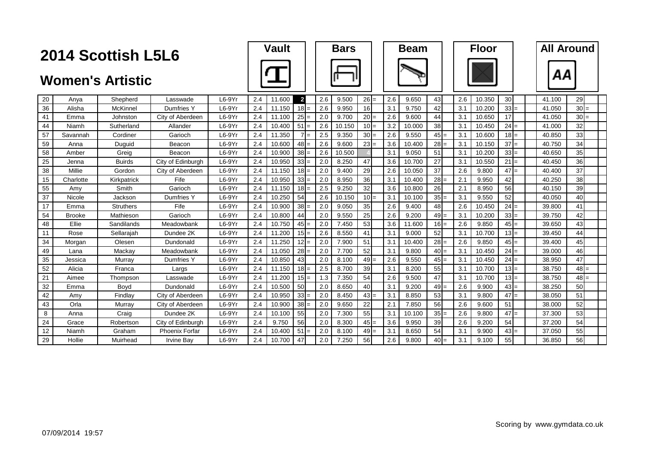|    |               | 2014 Scottish L5L6      |                   |          |     | Vault  |                |     | <b>Bars</b> |        |     | <b>Beam</b> |        |     | Floor  |                 | <b>All Around</b> |        |  |
|----|---------------|-------------------------|-------------------|----------|-----|--------|----------------|-----|-------------|--------|-----|-------------|--------|-----|--------|-----------------|-------------------|--------|--|
|    |               | <b>Women's Artistic</b> |                   |          |     |        |                |     |             |        |     |             |        |     |        |                 |                   |        |  |
| 20 | Anya          | Shepherd                | Lasswade          | $L6-9Yr$ | 2.4 | 11.600 | $\overline{2}$ | 2.6 | 9.500       | $26 =$ | 2.6 | 9.650       | 43     | 2.6 | 10.350 | 30 <sup>1</sup> | 41.100            | 29     |  |
| 36 | Alisha        | McKinnel                | Dumfries Y        | $L6-9Yr$ | 2.4 | 11.150 | $18 =$         | 2.6 | 9.950       | 16     | 3.1 | 9.750       | 42     | 3.1 | 10.200 | $33$ =          | 41.050            | $30 =$ |  |
| 41 | Emma          | Johnston                | City of Aberdeen  | $L6-9Yr$ | 2.4 | 11.100 | $25 =$         | 2.0 | 9.700       | $20 =$ | 2.6 | 9.600       | 44     | 3.1 | 10.650 | 17              | 41.050            | $30 =$ |  |
| 44 | Niamh         | Sutherland              | Allander          | $L6-9Yr$ | 2.4 | 10.400 | $51 =$         | 2.6 | 10.150      | $10 =$ | 3.2 | 10.000      | 38     | 3.1 | 10.450 | $24 =$          | 41.000            | 32     |  |
| 57 | Savannah      | Cordiner                | Garioch           | $L6-9Yr$ | 2.4 | 11.350 | $7 =$          | 2.5 | 9.350       | $30 =$ | 2.6 | 9.550       | $45 =$ | 3.1 | 10.600 | $18 =$          | 40.850            | 33     |  |
| 59 | Anna          | Duguid                  | Beacon            | $L6-9Yr$ | 2.4 | 10.600 | $48 =$         | 2.6 | 9.600       | $23 =$ | 3.6 | 10.400      | $28 =$ | 3.1 | 10.150 | $37 =$          | 40.750            | 34     |  |
| 58 | Amber         | Greig                   | Beacon            | $L6-9Yr$ | 2.4 | 10.900 | $38 =$         | 2.6 | 10.500      |        | 3.1 | 9.050       | 51     | 3.1 | 10.200 | $33 =$          | 40.650            | 35     |  |
| 25 | Jenna         | <b>Buirds</b>           | City of Edinburgh | $L6-9Yr$ | 2.4 | 10.950 | $33 =$         | 2.0 | 8.250       | 47     | 3.6 | 10.700      | 27     | 3.1 | 10.550 | $21 =$          | 40.450            | 36     |  |
| 38 | Millie        | Gordon                  | City of Aberdeen  | $L6-9Yr$ | 2.4 | 11.150 | $18 =$         | 2.0 | 9.400       | 29     | 2.6 | 10.050      | 37     | 2.6 | 9.800  | $47 =$          | 40.400            | 37     |  |
| 15 | Charlotte     | Kirkpatrick             | Fife              | $L6-9Yr$ | 2.4 | 10.950 | $33 =$         | 2.0 | 8.950       | 36     | 3.1 | 10.400      | $28 =$ | 2.1 | 9.950  | 42              | 40.250            | 38     |  |
| 55 | Amy           | Smith                   | Garioch           | $L6-9Yr$ | 2.4 | 11.150 | $18 =$         | 2.5 | 9.250       | 32     | 3.6 | 10.800      | 26     | 2.1 | 8.950  | 56              | 40.150            | 39     |  |
| 37 | Nicole        | Jackson                 | Dumfries Y        | $L6-9Yr$ | 2.4 | 10.250 | 54             | 2.6 | 10.150      | $10 =$ | 3.1 | 10.100      | $35 =$ | 3.1 | 9.550  | 52              | 40.050            | 40     |  |
| 17 | Emma          | <b>Struthers</b>        | Fife              | $L6-9Yr$ | 2.4 | 10.900 | $38 =$         | 2.0 | 9.050       | 35     | 2.6 | 9.400       | 48     | 2.6 | 10.450 | $24 =$          | 39.800            | 41     |  |
| 54 | <b>Brooke</b> | Mathieson               | Garioch           | $L6-9Yr$ | 2.4 | 10.800 | 44             | 2.0 | 9.550       | 25     | 2.6 | 9.200       | $49 =$ | 3.1 | 10.200 | $33 =$          | 39.750            | 42     |  |
| 48 | Ellie         | Sandilands              | Meadowbank        | $L6-9Yr$ | 2.4 | 10.750 | $45 =$         | 2.0 | 7.450       | 53     | 3.6 | 11.600      | $16 =$ | 2.6 | 9.850  | $45 =$          | 39.650            | 43     |  |
| 11 | Rose          | Sellarajah              | Dundee 2K         | $L6-9Yr$ | 2.4 | 11.200 | $15 =$         | 2.6 | 8.550       | 41     | 3.1 | 9.000       | 52     | 3.1 | 10.700 | $13 =$          | 39.450            | 44     |  |
| 34 | Morgan        | Olesen                  | Dundonald         | $L6-9Yr$ | 2.4 | 11.250 | $12 =$         | 2.0 | 7.900       | 51     | 3.1 | 10.400      | $28 =$ | 2.6 | 9.850  | $45 =$          | 39.400            | 45     |  |
| 49 | Lana          | Mackay                  | Meadowbank        | $L6-9Yr$ | 2.4 | 11.050 | $28 =$         | 2.0 | 7.700       | 52     | 3.1 | 9.800       | $40 =$ | 3.1 | 10.450 | $24 =$          | 39.000            | 46     |  |
| 35 | Jessica       | Murrav                  | Dumfries Y        | $L6-9Yr$ | 2.4 | 10.850 | 43             | 2.0 | 8.100       | $49 =$ | 2.6 | 9.550       | $45 =$ | 3.1 | 10.450 | $24 =$          | 38.950            | 47     |  |
| 52 | Alicia        | Franca                  | Largs             | $L6-9Yr$ | 2.4 | 11.150 | $18 =$         | 2.5 | 8.700       | 39     | 3.1 | 8.200       | 55     | 3.1 | 10.700 | $13 =$          | 38.750            | $48 =$ |  |
| 21 | Aimee         | Thompson                | Lasswade          | $L6-9Yr$ | 2.4 | 11.200 | $15 =$         | 1.3 | 7.350       | 54     | 2.6 | 9.500       | 47     | 3.1 | 10.700 | $13 =$          | 38.750            | $48 =$ |  |
| 32 | Emma          | Bovd                    | Dundonald         | $L6-9Yr$ | 2.4 | 10.500 | 50             | 2.0 | 8.650       | 40     | 3.1 | 9.200       | $49 =$ | 2.6 | 9.900  | $43 =$          | 38.250            | 50     |  |
| 42 | Amy           | Findlay                 | City of Aberdeen  | $L6-9Yr$ | 2.4 | 10.950 | $33 =$         | 2.0 | 8.450       | $43 =$ | 3.1 | 8.850       | 53     | 3.1 | 9.800  | $47 =$          | 38.050            | 51     |  |
| 43 | Orla          | Murray                  | City of Aberdeen  | $L6-9Yr$ | 2.4 | 10.900 | $38 =$         | 2.0 | 9.650       | 22     | 2.1 | 7.850       | 56     | 2.6 | 9.600  | 51              | 38.000            | 52     |  |
| 8  | Anna          | Craig                   | Dundee 2K         | $L6-9Yr$ | 2.4 | 10.100 | 55             | 2.0 | 7.300       | 55     | 3.1 | 10.100      | $35 =$ | 2.6 | 9.800  | $47 =$          | 37.300            | 53     |  |
| 24 | Grace         | Robertson               | City of Edinburgh | $L6-9Yr$ | 2.4 | 9.750  | 56             | 2.0 | 8.300       | $45 =$ | 3.6 | 9.950       | 39     | 2.6 | 9.200  | 54              | 37.200            | 54     |  |
| 12 | Niamh         | Graham                  | Phoenix Forfar    | $L6-9Yr$ | 2.4 | 10.400 | $51 =$         | 2.0 | 8.100       | $49 =$ | 3.1 | 8.650       | 54     | 3.1 | 9.900  | $43 =$          | 37.050            | 55     |  |
| 29 | Hollie        | Muirhead                | <b>Irvine Bay</b> | $L6-9Yr$ | 2.4 | 10.700 | 47             | 2.0 | 7.250       | 56     | 2.6 | 9.800       | $40 =$ | 3.1 | 9.100  | 55              | 36.850            | 56     |  |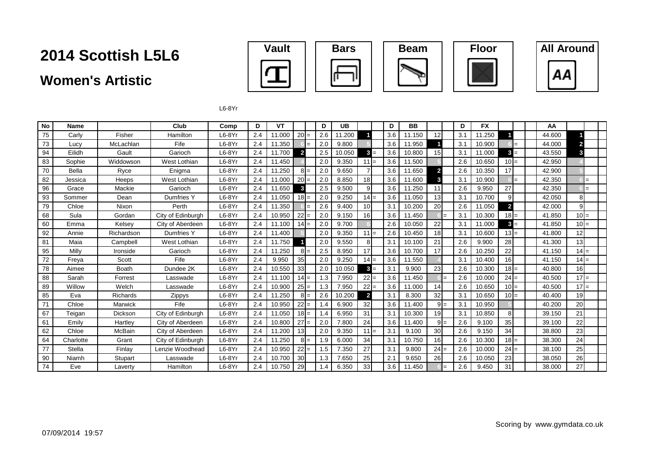### **Women's Artistic**









L6-8Yr

| No | Name          |                 | Club              | Comp     | D   | VT     |                 | D   | UB     |                 | D   | <b>BB</b> |                |     | D   | <b>FX</b> |                |     | AA     |                         |  |
|----|---------------|-----------------|-------------------|----------|-----|--------|-----------------|-----|--------|-----------------|-----|-----------|----------------|-----|-----|-----------|----------------|-----|--------|-------------------------|--|
| 75 | Carlv         | Fisher          | Hamilton          | $L6-8Yr$ | 2.4 | 11.000 | $20 =$          | 2.6 | 11.200 |                 | 3.6 | 11.150    | 12             |     | 3.1 | 11.250    |                |     | 44.600 |                         |  |
| 73 | Lucy          | McLachlan       | Fife              | $L6-8Yr$ | 2.4 | 11.350 |                 | 2.0 | 9.800  |                 | 3.6 | 11.950    |                |     | 3.1 | 10.900    |                |     | 44.000 | $\overline{\mathbf{c}}$ |  |
| 94 | Eilidh        | Gault           | Garioch           | $L6-8Yr$ | 2.4 | 11.700 | $\overline{2}$  | 2.5 | 10.050 | $3 =$           | 3.6 | 10.800    | 15             |     | 3.1 | 11.000    | $3 =$          |     | 43.550 | 3                       |  |
| 83 | Sophie        | Widdowson       | West Lothian      | $L6-8Yr$ | 2.4 | 11.450 |                 | 2.0 | 9.350  | $11 =$          | 3.6 | 11.500    |                |     | 2.6 | 10.650    | $10 =$         |     | 42.950 |                         |  |
| 70 | <b>Bella</b>  | Ryce            | Enigma            | $L6-8Yr$ | 2.4 | 11.250 | $8 =$           | 2.0 | 9.650  |                 | 3.6 | 11.650    | $\overline{2}$ |     | 2.6 | 10.350    | 17             |     | 42.900 |                         |  |
| 82 | Jessica       | Heeps           | West Lothian      | $L6-8Yr$ | 2.4 | 11.000 | $20 =$          | 2.0 | 8.850  | 18              | 3.6 | 11.600    | 3              |     | 3.1 | 10.900    |                | $=$ | 42.350 | $=$                     |  |
| 96 | Grace         | Mackie          | Garioch           | $L6-8Yr$ | 2.4 | 11.650 | 3               | 2.5 | 9.500  | 9               | 3.6 | 11.250    | 11             |     | 2.6 | 9.950     | 27             |     | 42.350 | $=$                     |  |
| 93 | Sommer        | Dean            | Dumfries Y        | $L6-8Yr$ | 2.4 | 11.050 | $18 =$          | 2.0 | 9.250  | $14 =$          | 3.6 | 11.050    | 13             |     | 3.1 | 10.700    | 9 <sub>l</sub> |     | 42.050 | 8                       |  |
| 79 | Chloe         | Nixon           | Perth             | $L6-8Yr$ | 2.4 | 11.350 |                 | 2.6 | 9.400  | 10 <sup>1</sup> | 3.1 | 10.200    | 20             |     | 2.6 | 11.050    | $\overline{2}$ |     | 42.000 | 9                       |  |
| 68 | Sula          | Gordan          | City of Edinburgh | $L6-8Yr$ | 2.4 | 10.950 | $22 =$          | 2.0 | 9.150  | 16              | 3.6 | 11.450    |                | $=$ | 3.1 | 10.300    | $18 =$         |     | 41.850 | $10 =$                  |  |
| 60 | Emma          | Kelsey          | City of Aberdeen  | $L6-8Yr$ | 2.4 | 11.100 | $14 =$          | 2.0 | 9.700  |                 | 2.6 | 10.050    | 22             |     | 3.1 | 11.000    | $3 =$          |     | 41.850 | $10 =$                  |  |
| 92 | Annie         | Richardson      | Dumfries Y        | $L6-8Yr$ | 2.4 | 11.400 |                 | 2.0 | 9.350  | $11 =$          | 2.6 | 10.450    | 18             |     | 3.1 | 10.600    | $13 =$         |     | 41.800 | 12                      |  |
| 81 | Maia          | Campbell        | West Lothian      | $L6-8Yr$ | 2.4 | 11.750 |                 | 2.0 | 9.550  | 8               | 3.1 | 10.100    | 21             |     | 2.6 | 9.900     | 28             |     | 41.300 | 13                      |  |
| 95 | Milly         | Ironside        | Garioch           | $L6-8Yr$ | 2.4 | 11.250 | $8 =$           | 2.5 | 8.950  | 17              | 3.6 | 10.700    | 17             |     | 2.6 | 10.250    | 22             |     | 41.150 | $14 =$                  |  |
| 72 | Freya         | Scott           | Fife              | $L6-8Yr$ | 2.4 | 9.950  | 35              | 2.0 | 9.250  | $14 =$          | 3.6 | 11.550    |                |     | 3.1 | 10.400    | 16             |     | 41.150 | $14 =$                  |  |
| 78 | Aimee         | Boath           | Dundee 2K         | $L6-8Yr$ | 2.4 | 10.550 | 33              | 2.0 | 10.050 | $3 =$           | 3.1 | 9.900     | 23             |     | 2.6 | 10.300    | $18 =$         |     | 40.800 | 16                      |  |
| 88 | Sarah         | Forrest         | Lasswade          | $L6-8Yr$ | 2.4 | 11.100 | $14 =$          | 1.3 | 7.950  | $22 =$          | 3.6 | 11.450    |                |     | 2.6 | 10.000    | $24 =$         |     | 40.500 | $17 =$                  |  |
| 89 | Willow        | Welch           | Lasswade          | $L6-8Yr$ | 2.4 | 10.900 | $25 =$          | 1.3 | 7.950  | $22 =$          | 3.6 | 11.000    | 14             |     | 2.6 | 10.650    | $10 =$         |     | 40.500 | $17 =$                  |  |
| 85 | Eva           | <b>Richards</b> | Zippys            | $L6-8Yr$ | 2.4 | 11.250 | $8I=$           | 2.6 | 10.200 | $\overline{2}$  | 3.1 | 8.300     | 32             |     | 3.1 | 10.650    | $10 =$         |     | 40.400 | 19                      |  |
| 71 | Chloe         | Marwick         | Fife              | $L6-8Yr$ | 2.4 | 10.950 | $22 =$          | 1.4 | 6.900  | 32              | 3.6 | 11.400    | $9 =$          |     | 3.1 | 10.950    |                |     | 40.200 | 20                      |  |
| 67 | Teigan        | <b>Dickson</b>  | City of Edinburgh | $L6-8Yr$ | 2.4 | 11.050 | $18 =$          | 1.4 | 6.950  | 31              | 3.1 | 10.300    | 19             |     | 3.1 | 10.850    | 8 <sup>1</sup> |     | 39.150 | 21                      |  |
| 61 | Emily         | Hartley         | City of Aberdeen  | $L6-8Yr$ | 2.4 | 10.800 | $27 =$          | 2.0 | 7.800  | 24              | 3.6 | 11.400    | $9 =$          |     | 2.6 | 9.100     | 35             |     | 39.100 | 22                      |  |
| 62 | Chloe         | McBain          | City of Aberdeen  | $L6-8Yr$ | 2.4 | 11.200 | 13              | 2.0 | 9.350  | $11 =$          | 3.1 | 9.100     | 30             |     | 2.6 | 9.150     | 34             |     | 38.800 | 23                      |  |
| 64 | Charlotte     | Grant           | City of Edinburgh | $L6-8Yr$ | 2.4 | 11.250 | $8I=$           | 1.9 | 6.000  | 34              | 3.1 | 10.750    | 16             |     | 2.6 | 10.300    | $18 =$         |     | 38.300 | 24                      |  |
| 77 | <b>Stella</b> | Finlay          | Lenzie Woodhead   | $L6-8Yr$ | 2.4 | 10.950 | $22 =$          | 1.5 | 7.350  | 27              | 3.1 | 9.800     | $24 =$         |     | 2.6 | 10.000    | $24 =$         |     | 38.100 | 25                      |  |
| 90 | Niamh         | Stupart         | Lasswade          | $L6-8Yr$ | 2.4 | 10.700 | 30 <sup>l</sup> | 1.3 | 7.650  | 25              | 2.1 | 9.650     | 26             |     | 2.6 | 10.050    | 23             |     | 38.050 | 26                      |  |
| 74 | Eve           | Laverty         | Hamilton          | $L6-8Yr$ | 2.4 | 10.750 | 29              | 1.4 | 6.350  | 33              | 3.6 | 11.450    |                |     | 2.6 | 9.450     | 31             |     | 38.000 | 27                      |  |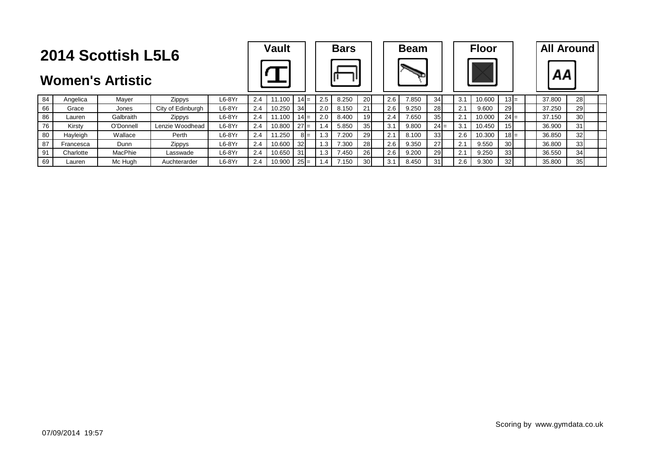|                                                                          | <b>2014 Scottish L5L6</b> |           |                   | <b>Vault</b> |     |        |        | <b>Bars</b> |     |       | <b>Beam</b>     |     |       | <b>Floor</b>    |     | <b>All Around</b> |                 |        |                 |  |
|--------------------------------------------------------------------------|---------------------------|-----------|-------------------|--------------|-----|--------|--------|-------------|-----|-------|-----------------|-----|-------|-----------------|-----|-------------------|-----------------|--------|-----------------|--|
| <b>Women's Artistic</b><br>84<br>$L6-8Yr$<br>Zippys<br>Mayer<br>Angelica |                           |           |                   |              |     |        |        |             |     |       |                 |     |       |                 |     |                   |                 | ΑА     |                 |  |
|                                                                          |                           |           |                   |              | 2.4 | 11.100 | $14 =$ |             | 2.5 | 8.250 | 20              | 2.6 | 7.850 | 34              | 3.1 | 10.600            | $13 =$          | 37.800 | 28              |  |
| 66                                                                       | Grace                     | Jones     | City of Edinburgh | $L6-8Yr$     | 2.4 | 10.250 | 34     |             | 2.0 | 8.150 | 21              | 2.6 | 9.250 | 28              | 2.1 | 9.600             | 29I             | 37.250 | <b>29</b>       |  |
| 86                                                                       | Lauren                    | Galbraith | Zippys            | $L6-8Yr$     | 2.4 | 11.100 | 14I    |             | 2.0 | 8.400 | 19 <sup>l</sup> | 2.4 | 7.650 | 35 <sup>1</sup> | 2.1 | 10.000            | $24 =$          | 37.150 | 30 <sup>l</sup> |  |
| 76                                                                       | Kirsty                    | O'Donnell | Lenzie Woodhead   | $L6-8Yr$     | 2.4 | 10.800 | $27 =$ |             | 1.4 | 5.850 | 35 <sup>1</sup> | 3.1 | 9.800 | $24 =$          | 3.1 | 10.450            | 15 <sup>1</sup> | 36,900 | 31              |  |
| 80                                                                       | Hayleigh                  | Wallace   | Perth             | $L6-8Yr$     | 2.4 | 11.250 |        | $8I =$      | 1.3 | 7.200 | 29              | 2.1 | 8.100 | 33 <sup>1</sup> | 2.6 | 10.300            | $18 =$          | 36.850 | 32 <sub>l</sub> |  |
| 87                                                                       | Francesca                 | Dunn      | <b>Zippys</b>     | $L6-8Yr$     | 2.4 | 10.600 | 32     |             | 1.3 | 7.300 | 28              | 2.6 | 9.350 | 27              | 2.1 | 9.550             | 30I             | 36.800 | 33 <sup>1</sup> |  |
| 91                                                                       | Charlotte                 | MacPhie   | Lasswade          | $L6-8Yr$     | 2.4 | 10.650 | 31     |             | 1.3 | 7.450 | 26              | 2.6 | 9.200 | 29              | 2.1 | 9.250             | 33 <sup>1</sup> | 36.550 | 34              |  |
| 69                                                                       | Lauren                    | Mc Huah   | Auchterarder      | $L6-8Yr$     | 2.4 | 10.900 | $25 =$ |             |     | 7.150 | 30 <sup>l</sup> | 3.1 | 8.450 | 31              | 2.6 | 9.300             | 32 <sub>2</sub> | 35.800 | 35 <sub>l</sub> |  |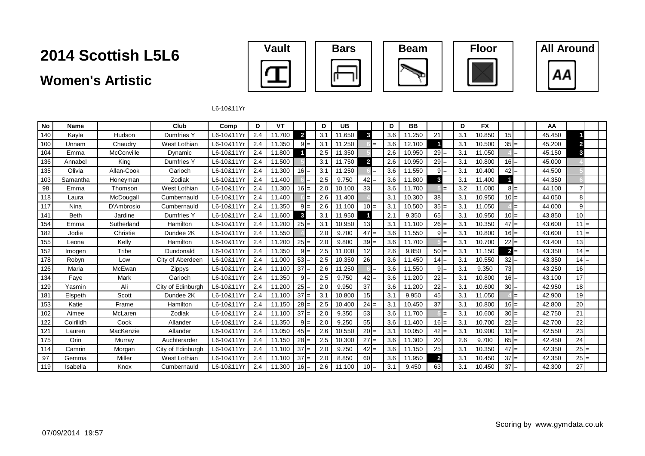### **Women's Artistic**









L6-10&11Yr

| No  | <b>Name</b> |            | Club              | Comp       | D   | VT     |                | D   | <b>UB</b> |                |     | D   | <b>BB</b> |              |     | D   | <b>FX</b> |        | AA     |                 |  |
|-----|-------------|------------|-------------------|------------|-----|--------|----------------|-----|-----------|----------------|-----|-----|-----------|--------------|-----|-----|-----------|--------|--------|-----------------|--|
| 140 | Kayla       | Hudson     | Dumfries Y        | L6-10&11Y  | 2.4 | 11.700 | $\overline{2}$ | 3.1 | 11.650    | 3              |     | 3.6 | 11.250    | 21           |     | 3.1 | 10.850    | 15     | 45.450 |                 |  |
| 100 | Unnam       | Chaudry    | West Lothian      | L6-10&11Y  | 2.4 | 11.350 | $9 =$          | 3.1 | 11.250    |                | $=$ | 3.6 | 12.100    |              |     | 3.1 | 10.500    | $35 =$ | 45.200 | $\mathbf{z}$    |  |
| 104 | Emma        | McConville | Dynamic           | L6-10&11Y  | 2.4 | 11.800 |                | 2.5 | 11.350    |                |     | 2.6 | 10.950    | $29 =$       |     | 3.1 | 11.050    |        | 45.150 | 3               |  |
| 136 | Annabel     | King       | Dumfries Y        | L6-10&11Y  | 2.4 | 11.500 |                | 3.1 | 11.750    | $\overline{2}$ |     | 2.6 | 10.950    | $29 =$       |     | 3.1 | 10.800    | $16 =$ | 45.000 |                 |  |
| 135 | Olivia      | Allan-Cook | Garioch           | L6-10&11Y  | 2.4 | 11.300 | $16 =$         | 3.1 | 11.250    |                | $=$ | 3.6 | 11.550    | $9 =$        |     | 3.1 | 10.400    | $42 =$ | 44.500 |                 |  |
| 103 | Samantha    | Honeyman   | Zodiak            | L6-10&11Y  | 2.4 | 11.400 |                | 2.5 | 9.750     | $ 42  =$       |     | 3.6 | 11.800    | 3            |     | 3.1 | 11.400    |        | 44.350 |                 |  |
| 98  | Emma        | Thomson    | West Lothian      | L6-10&11Y  | 2.4 | 11.300 | $16 =$         | 2.0 | 10.100    | 33             |     | 3.6 | 11.700    |              | $=$ | 3.2 | 11.000    | $8 =$  | 44.100 |                 |  |
| 118 | Laura       | McDougall  | Cumbernauld       | L6-10&11Y  | 2.4 | 11.400 |                | 2.6 | 11.400    |                |     | 3.1 | 10.300    | 38           |     | 3.1 | 10.950    | $10 =$ | 44.050 | 8               |  |
| 117 | Nina        | D'Ambrosio | Cumbernauld       | L6-10&11Y  | 2.4 | 11.350 | $9 =$          | 2.6 | 11.100    | $10 =$         |     | 3.1 | 10.500    | $35 =$       |     | 3.1 | 11.050    |        | 44.000 | 9 <sub>l</sub>  |  |
| 141 | <b>Beth</b> | Jardine    | Dumfries Y        | L6-10&11Y  | 2.4 | 11.600 | 3              | 3.1 | 11.950    |                |     | 2.1 | 9.350     | 65           |     | 3.1 | 10.950    | $10 =$ | 43.850 | 10              |  |
| 154 | Emma        | Sutherland | Hamilton          | L6-10&11Y  | 2.4 | 11.200 | $25 =$         | 3.1 | 10.950    | 13             |     | 3.1 | 11.100    | $26 =$       |     | 3.1 | 10.350    | $47 =$ | 43.600 | $11 =$          |  |
| 182 | Jodie       | Christie   | Dundee 2K         | L6-10&11Y  | 2.4 | 11.550 |                | 2.0 | 9.700     | $47 =$         |     | 3.6 | 11.550    | $9 =$        |     | 3.1 | 10.800    | $16 =$ | 43.600 | $11 =$          |  |
| 155 | Leona       | Kelly      | Hamilton          | L6-10&11Y  | 2.4 | 11.200 | $25 =$         | 2.0 | 9.800     | $39 =$         |     | 3.6 | 11.700    |              | $=$ | 3.1 | 10.700    | $22 =$ | 43.400 | 13              |  |
| 152 | Imogen      | Tribe      | Dundonald         | L6-10&11Y  | 2.4 | 11.350 | $9 =$          | 2.5 | 11.000    | 12             |     | 2.6 | 9.850     | $50 =$       |     | 3.1 | 11.150    | $2 =$  | 43.350 | $14 =$          |  |
| 178 | Robyn       | Low        | City of Aberdeen  | L6-10&11Y  | 2.4 | 11.000 | $53 =$         | 2.5 | 10.350    | 26             |     | 3.6 | 11.450    | $14 =$       |     | 3.1 | 10.550    | $32$ = | 43.350 | $14 =$          |  |
| 126 | Maria       | McEwan     | Zippys            | L6-10&11Y  | 2.4 | 11.100 | $37 =$         | 2.6 | 11.250    |                | ⊪=  | 3.6 | 11.550    | $9I=$        |     | 3.1 | 9.350     | 73     | 43.250 | 16              |  |
| 134 | Faye        | Mark       | Garioch           | L6-10&11Y  | 2.4 | 11.350 | $9 =$          | 2.5 | 9.750     | $ 42  =$       |     | 3.6 | 11.200    | $22 =$       |     | 3.1 | 10.800    | $16 =$ | 43.100 | 17              |  |
| 129 | Yasmin      | Ali        | City of Edinburgh | L6-10&11Y  | 2.4 | 11.200 | $25 =$         | 2.0 | 9.950     | 37             |     | 3.6 | 11.200    | 22           | $=$ | 3.1 | 10.600    | $30 =$ | 42.950 | 18              |  |
| 181 | Elspeth     | Scott      | Dundee 2K         | L6-10&11Y  | 2.4 | 11.100 | $37 =$         | 3.1 | 10.800    | 15             |     | 3.1 | 9.950     | 45           |     | 3.1 | 11.050    |        | 42.900 | 19              |  |
| 153 | Katie       | Frame      | Hamilton          | L6-10&11Y  | 2.4 | 11.150 | $28 =$         | 2.5 | 10.400    | $24 =$         |     | 3.1 | 10.450    | 37           |     | 3.1 | 10.800    | $16 =$ | 42.800 | 20 <sup>1</sup> |  |
| 102 | Aimee       | McLaren    | Zodiak            | L6-10&11Y  | 2.4 | 11.100 | $37 =$         | 2.0 | 9.350     | 53             |     | 3.6 | 11.700    |              | $=$ | 3.1 | 10.600    | $30 =$ | 42.750 | 21              |  |
| 122 | Coirilidh   | Cook       | Allander          | L6-10&11Y  | 2.4 | 11.350 | $9 =$          | 2.0 | 9.250     | 55             |     | 3.6 | 11.400    | $16 =$       |     | 3.1 | 10.700    | $22 =$ | 42.700 | 22              |  |
| 121 | Lauren      | MacKenzie  | Allander          | L6-10&11Y  | 2.4 | 11.050 | $45 =$         | 2.6 | 10.550    | $20 =$         |     | 3.1 | 10.050    | $42 =$       |     | 3.1 | 10.900    | $13 =$ | 42.550 | 23              |  |
| 175 | Orin        | Murray     | Auchterarder      | L6-10&11Y  | 2.4 | 11.150 | $28 =$         | 2.5 | 10.300    | $27 =$         |     | 3.6 | 11.300    | 20           |     | 2.6 | 9.700     | $65 =$ | 42.450 | 24              |  |
| 114 | Camrin      | Morgan     | City of Edinburgh | L6-10&11Y  | 2.4 | 11.100 | $37 =$         | 2.0 | 9.750     | $ 42  =$       |     | 3.6 | 11.150    | 25           |     | 3.1 | 10.350    | $47 =$ | 42.350 | $25 =$          |  |
| 97  | Gemma       | Miller     | West Lothian      | L6-10&11Y  | 2.4 | 11.100 | $37 =$         | 2.0 | 8.850     | 60             |     | 3.6 | 11.950    | $\mathbf{2}$ |     | 3.1 | 10.450    | $37 =$ | 42.350 | $25 =$          |  |
| 119 | Isabella    | Knox       | Cumbernauld       | L6-10&11Yr | 2.4 | 11.300 | $16 =$         | 2.6 | 11.100    | $10 =$         |     | 3.1 | 9.450     | 63           |     | 3.1 | 10.450    | $37 =$ | 42.300 | 27              |  |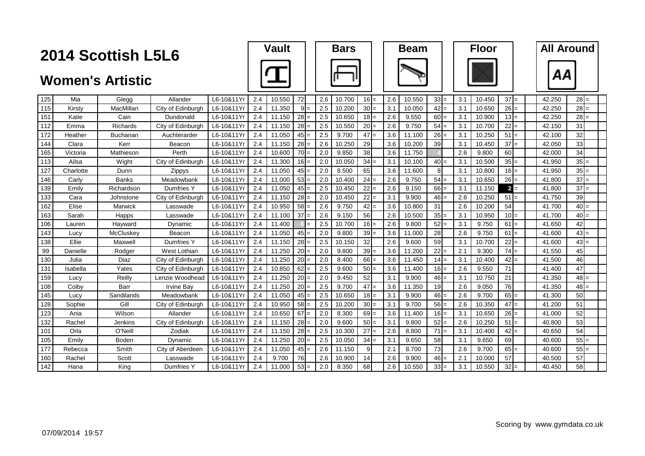|     |           | 2014 Scottish L5L6      |                   |            |     | <b>Vault</b> |        |     | <b>Bars</b> |           |     | <b>Beam</b> |                |     | <b>Floor</b> |        | <b>All Around</b> |        |  |
|-----|-----------|-------------------------|-------------------|------------|-----|--------------|--------|-----|-------------|-----------|-----|-------------|----------------|-----|--------------|--------|-------------------|--------|--|
|     |           | <b>Women's Artistic</b> |                   |            |     |              |        |     |             |           |     |             |                |     |              |        | ΑА                |        |  |
| 125 | Mia       | Glegg                   | Allander          | L6-10&11Yr | 2.4 | 10.550       | 72     | 2.6 | 10.700      | $16 =$    | 2.6 | 10.550      | $33 =$         | 3.1 | 10.450       | $37 =$ | 42.250            | $28 =$ |  |
| 115 | Kirsty    | MacMillan               | City of Edinburgh | L6-10&11Y  | 2.4 | 11.350       | $9 =$  | 2.5 | 10.200      | $30 =$    | 3.1 | 10.050      | $42 =$         | 3.1 | 10.650       | $26 =$ | 42.250            | $28 =$ |  |
| 151 | Katie     | Cain                    | Dundonald         | L6-10&11Y  | 2.4 | 11.150       | $28 =$ | 2.5 | 10.650      | $18 =$    | 2.6 | 9.550       | $60 =$         | 3.1 | 10.900       | $13 =$ | 42.250            | $28 =$ |  |
| 112 | Emma      | Richards                | City of Edinburgh | L6-10&11Y  | 2.4 | 11.150       | $28 =$ | 2.5 | 10.550      | $20 =$    | 2.6 | 9.750       | $54 =$         | 3.1 | 10.700       | $22 =$ | 42.150            | 31     |  |
| 172 | Heather   | <b>Buchanan</b>         | Auchterarder      | L6-10&11Yr | 2.4 | 11.050       | $45 =$ | 2.5 | 9.700       | 47<br>$=$ | 3.6 | 11.100      | $26 =$         | 3.1 | 10.250       | $51 =$ | 42.100            | 32     |  |
| 144 | Clara     | Kerr                    | Beacon            | L6-10&11Y  | 2.4 | 11.150       | $28 =$ | 2.6 | 10.250      | 29        | 3.6 | 10.200      | 39             | 3.1 | 10.450       | $37 =$ | 42.050            | 33     |  |
| 165 | Victoria  | Mathieson               | Perth             | L6-10&11Y  | 2.4 | 10.600       | $70 =$ | 2.0 | 9.850       | 38        | 3.6 | 11.750      |                | 2.6 | 9.800        | 60     | 42.000            | 34     |  |
| 113 | Ailsa     | Wight                   | City of Edinburgh | L6-10&11Yr | 2.4 | 11.300       | $16 =$ | 2.0 | 10.050      | $34 =$    | 3.1 | 10.100      | $40 =$         | 3.1 | 10.500       | $35 =$ | 41.950            | $35$ = |  |
| 127 | Charlotte | Dunn                    | Zippys            | L6-10&11Yr | 2.4 | 11.050       | $45 =$ | 2.0 | 8.500       | 65        | 3.6 | 11.600      | 8 <sup>1</sup> | 3.1 | 10.800       | $16 =$ | 41.950            | $35$ = |  |
| 146 | Carly     | Banks                   | Meadowbank        | L6-10&11Y  | 2.4 | 11.000       | $53$ = | 2.0 | 10.400      | $24 =$    | 2.6 | 9.750       | $54 =$         | 3.1 | 10.650       | $26 =$ | 41.800            | $37 =$ |  |
| 139 | Emily     | Richardson              | Dumfries Y        | L6-10&11Y  | 2.4 | 11.050       | $45 =$ | 2.5 | 10.450      | $22 =$    | 2.6 | 9.150       | $66 =$         | 3.1 | 11.150       | $2 =$  | 41.800            | $37 =$ |  |
| 133 | Cara      | Johnstone               | City of Edinburgh | L6-10&11Y  | 2.4 | 11.150       | $28 =$ | 2.0 | 10.450      | $22 =$    | 3.1 | 9.900       | $46 =$         | 2.6 | 10.250       | $51 =$ | 41.750            | 39     |  |
| 162 | Elise     | Marwick                 | Lasswade          | L6-10&11Yr | 2.4 | 10.950       | $58 =$ | 2.6 | 9.750       | $42 =$    | 3.6 | 10.800      | 31             | 2.6 | 10.200       | 54     | 41.700            | $40 =$ |  |
| 163 | Sarah     | <b>Happs</b>            | Lasswade          | L6-10&11Y  | 2.4 | 11.100       | $37 =$ | 2.6 | 9.150       | 56        | 2.6 | 10.500      | $35 =$         | 3.1 | 10.950       | $10 =$ | 41.700            | $40 =$ |  |
| 106 | Lauren    | Hayward                 | Dynamic           | L6-10&11Y  | 2.4 | 11.400       |        | 2.5 | 10.700      | $16 =$    | 2.6 | 9.800       | $52 =$         | 3.1 | 9.750        | $61 =$ | 41.650            | 42     |  |
| 143 | Lucy      | McCluskey               | Beacon            | L6-10&11Y  | 2.4 | 11.050       | $45 =$ | 2.0 | 9.800       | $39 =$    | 3.6 | 11.000      | 28             | 2.6 | 9.750        | $61 =$ | 41.600            | $43 =$ |  |
| 138 | Ellie     | Maxwell                 | Dumfries Y        | L6-10&11Y  | 2.4 | 11.150       | $28 =$ | 2.5 | 10.150      | 32        | 2.6 | 9.600       | 59             | 3.1 | 10.700       | $22 =$ | 41.600            | $43 =$ |  |
| 99  | Danielle  | Rodger                  | West Lothian      | L6-10&11Y  | 2.4 | 11.250       | $20 =$ | 2.0 | 9.800       | 39<br>$=$ | 3.6 | 11.200      | $22 =$         | 2.1 | 9.300        | $74 =$ | 41.550            | 45     |  |
| 130 | Julia     | Diaz                    | City of Edinburgh | L6-10&11Y  | 2.4 | 11.250       | $20 =$ | 2.0 | 8.400       | $66 =$    | 3.6 | 11.450      | $14 =$         | 3.1 | 10.400       | $42 =$ | 41.500            | 46     |  |
| 131 | Isabella  | Yates                   | City of Edinburgh | L6-10&11Yr | 2.4 | 10.850       | $62 =$ | 2.5 | 9.600       | $50 =$    | 3.6 | 11.400      | $16 =$         | 2.6 | 9.550        | 71     | 41.400            | 47     |  |
| 159 | Lucy      | Reilly                  | Lenzie Woodhead   | L6-10&11Y  | 2.4 | 11.250       | $20 =$ | 2.0 | 9.450       | 52        | 3.1 | 9.900       | $46 =$         | 3.1 | 10.750       | 21     | 41.350            | $48 =$ |  |
| 108 | Colby     | Barr                    | <b>Irvine Bay</b> | L6-10&11Y  | 2.4 | 11.250       | $20 =$ | 2.5 | 9.700       | $47 =$    | 3.6 | 11.350      | 19             | 2.6 | 9.050        | 76     | 41.350            | $48 =$ |  |
| 145 | Lucy      | Sandilands              | Meadowbank        | L6-10&11Yr | 2.4 | 11.050       | $45 =$ | 2.5 | 10.650      | $18 =$    | 3.1 | 9.900       | $46 =$         | 2.6 | 9.700        | $65 =$ | 41.300            | 50     |  |
| 128 | Sophie    | Gill                    | City of Edinburgh | L6-10&11Y  | 2.4 | 10.950       | $58 =$ | 2.5 | 10.200      | $30 =$    | 3.1 | 9.700       | $56 =$         | 2.6 | 10.350       | $47 =$ | 41.200            | 51     |  |
| 123 | Ania      | Wilson                  | Allander          | L6-10&11Y  | 2.4 | 10.650       | $67 =$ | 2.0 | 8.300       | $69 =$    | 3.6 | 11.400      | $16 =$         | 3.1 | 10.650       | $26 =$ | 41.000            | 52     |  |
| 132 | Rachel    | Jenkins                 | City of Edinburgh | L6-10&11Y  | 2.4 | 11.150       | $28 =$ | 2.0 | 9.600       | $50 =$    | 3.1 | 9.800       | $52 =$         | 2.6 | 10.250       | $51 =$ | 40.800            | 53     |  |
| 101 | Orla      | O'Neill                 | Zodiak            | L6-10&11Y  | 2.4 | 11.150       | $28 =$ | 2.5 | 10.300      | $27 =$    | 2.6 | 8.800       | $71 =$         | 3.1 | 10.400       | $42 =$ | 40.650            | 54     |  |
| 105 | Emily     | Boden                   | Dynamic           | L6-10&11Y  | 2.4 | 11.250       | $20 =$ | 2.5 | 10.050      | $34 =$    | 3.1 | 9.650       | 58             | 3.1 | 9.650        | 69     | 40.600            | $55 =$ |  |
| 177 | Rebecca   | Smith                   | City of Aberdeen  | L6-10&11Y  | 2.4 | 11.050       | $45 =$ | 2.6 | 11.150      | 9         | 2.1 | 8.700       | 73             | 2.6 | 9.700        | $65 =$ | 40.600            | $55 =$ |  |
| 160 | Rachel    | Scott                   | Lasswade          | L6-10&11Y  | 2.4 | 9.700        | 76     | 2.6 | 10.900      | 14        | 2.6 | 9.900       | $46 =$         | 2.1 | 10.000       | 57     | 40.500            | 57     |  |
| 142 | Hana      | King                    | Dumfries Y        | L6-10&11Yr | 2.4 | 11.000       | $53 =$ | 2.0 | 8.350       | 68        | 2.6 | 10.550      | $33 =$         | 3.1 | 10.550       | $32 =$ | 40.450            | 58     |  |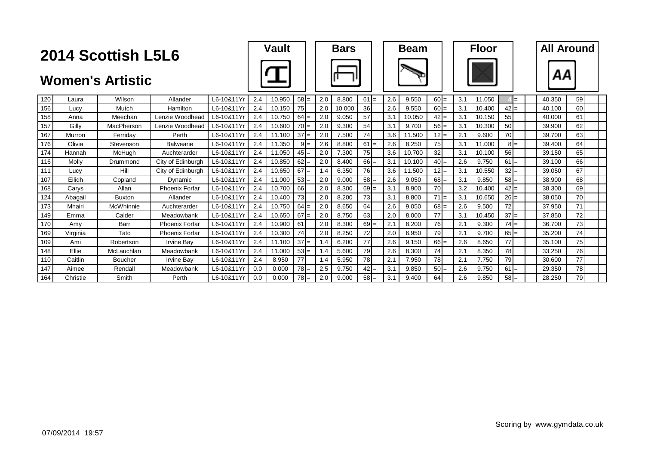|     |          | 2014 Scottish L5L6      |                       |            |     | <b>Vault</b> |        |     | <b>Bars</b> |        |     | <b>Beam</b> |           |     | <b>Floor</b> |        | <b>All Around</b> |    |  |
|-----|----------|-------------------------|-----------------------|------------|-----|--------------|--------|-----|-------------|--------|-----|-------------|-----------|-----|--------------|--------|-------------------|----|--|
|     |          | <b>Women's Artistic</b> |                       |            |     |              |        |     |             |        |     |             |           |     |              |        |                   |    |  |
| 120 | Laura    | Wilson                  | Allander              | L6-10&11Yr | 2.4 | 10.950       | $58 =$ | 2.0 | 8.800       | $61 =$ | 2.6 | 9.550       | $60 =$    | 3.1 | 11.050       | $=$    | 40.350            | 59 |  |
| 156 | Lucy     | Mutch                   | Hamilton              | L6-10&11Yr | 2.4 | 10.150       | 75     | 2.0 | 10.000      | 36     | 2.6 | 9.550       | $60 =$    | 3.1 | 10.400       | $42 =$ | 40.100            | 60 |  |
| 158 | Anna     | Meechan                 | Lenzie Woodhead       | L6-10&11Yr | 2.4 | 10.750       | $64 =$ | 2.0 | 9.050       | 57     | 3.1 | 10.050      | $42 =$    | 3.1 | 10.150       | 55     | 40.000            | 61 |  |
| 157 | Gilly    | MacPherson              | Lenzie Woodhead       | L6-10&11Yr | 2.4 | 10.600       | $70 =$ | 2.0 | 9.300       | 54     | 3.1 | 9.700       | $56 =$    | 3.1 | 10.300       | 50     | 39.900            | 62 |  |
| 167 | Murron   | Ferriday                | Perth                 | L6-10&11Yr | 2.4 | 11.100       | $37 =$ | 2.0 | 7.500       | 74     | 3.6 | 11.500      | $12 =$    | 2.1 | 9.600        | 70     | 39.700            | 63 |  |
| 176 | Olivia   | Stevenson               | <b>Balwearie</b>      | L6-10&11Yr | 2.4 | 11.350       | $9 =$  | 2.6 | 8.800       | $61 =$ | 2.6 | 8.250       | 75        | 3.1 | 11.000       | $8 =$  | 39.400            | 64 |  |
| 174 | Hannah   | McHugh                  | Auchterarder          | L6-10&11Yr | 2.4 | 11.050       | $45 =$ | 2.0 | 7.300       | 75     | 3.6 | 10.700      | 32        | 3.1 | 10.100       | 56     | 39.150            | 65 |  |
| 116 | Molly    | Drummond                | City of Edinburgh     | L6-10&11Yr | 2.4 | 10.850       | $62 =$ | 2.0 | 8.400       | $66 =$ | 3.1 | 10.100      | $40 =$    | 2.6 | 9.750        | $61 =$ | 39.100            | 66 |  |
| 111 | Lucy     | Hill                    | City of Edinburgh     | L6-10&11Yr | 2.4 | 10.650       | $67 =$ | 1.4 | 6.350       | 76     | 3.6 | 11.500      | $12 =$    | 3.1 | 10.550       | $32 =$ | 39.050            | 67 |  |
| 107 | Eilidh   | Copland                 | Dynamic               | L6-10&11Yr | 2.4 | 11.000       | $53 =$ | 2.0 | 9.000       | $58 =$ | 2.6 | 9.050       | $68 =$    | 3.1 | 9.850        | $58 =$ | 38.900            | 68 |  |
| 168 | Carvs    | Allan                   | <b>Phoenix Forfar</b> | L6-10&11Y  | 2.4 | 10.700       | 66     | 2.0 | 8.300       | $69 =$ | 3.1 | 8.900       | <b>70</b> | 3.2 | 10.400       | $42 =$ | 38.300            | 69 |  |
| 124 | Abagail  | <b>Buxton</b>           | Allander              | L6-10&11Yr | 2.4 | 10.400       | 73     | 2.0 | 8.200       | 73     | 3.1 | 8.800       | $71 =$    | 3.1 | 10.650       | $26 =$ | 38.050            | 70 |  |
| 173 | Mhairi   | McWhinnie               | Auchterarder          | L6-10&11Yr | 2.4 | 10.750       | $64 =$ | 2.0 | 8.650       | 64     | 2.6 | 9.050       | $68 =$    | 2.6 | 9.500        | 72     | 37.950            | 71 |  |
| 149 | Emma     | Calder                  | Meadowbank            | L6-10&11Yr | 2.4 | 10.650       | $67 =$ | 2.0 | 8.750       | 63     | 2.0 | 8.000       | 77        | 3.1 | 10.450       | $37 =$ | 37.850            | 72 |  |
| 170 | Amv      | <b>Barr</b>             | Phoenix Forfar        | L6-10&11Yr | 2.4 | 10.900       | 61     | 2.0 | 8.300       | $69 =$ | 2.1 | 8.200       | 76        | 2.1 | 9.300        | $74 =$ | 36.700            | 73 |  |
| 169 | Virginia | Tato                    | <b>Phoenix Forfar</b> | L6-10&11Yr | 2.4 | 10.300       | 74     | 2.0 | 8.250       | 72     | 2.0 | 6.950       | 79        | 2.1 | 9.700        | $65 =$ | 35.200            | 74 |  |
| 109 | Ami      | Robertson               | <b>Irvine Bav</b>     | L6-10&11Yr | 2.4 | 11.100       | $37 =$ | 1.4 | 6.200       | 77     | 2.6 | 9.150       | $66 =$    | 2.6 | 8.650        | 77     | 35.100            | 75 |  |
| 148 | Fllie    | McLauchlan              | Meadowbank            | L6-10&11Yr | 2.4 | 11.000       | $53 =$ | 1.4 | 5.600       | 79     | 2.6 | 8.300       | 74        | 2.1 | 8.350        | 78     | 33.250            | 76 |  |
| 110 | Caitlin  | <b>Boucher</b>          | <b>Irvine Bav</b>     | L6-10&11Yr | 2.4 | 8.950        | 77     | 1.4 | 5.950       | 78     | 2.1 | 7.950       | 78        | 2.1 | 7.750        | 79     | 30.600            | 77 |  |
| 147 | Aimee    | Rendall                 | Meadowbank            | L6-10&11Yr | 0.0 | 0.000        | $78 =$ | 2.5 | 9.750       | $42 =$ | 3.1 | 9.850       | $50 =$    | 2.6 | 9.750        | $61 =$ | 29.350            | 78 |  |
| 164 | Christie | Smith                   | Perth                 | L6-10&11Yr | 0.0 | 0.000        | $78 =$ | 2.0 | 9.000       | $58 =$ | 3.1 | 9.400       | 64        | 2.6 | 9.850        | $58 =$ | 28.250            | 79 |  |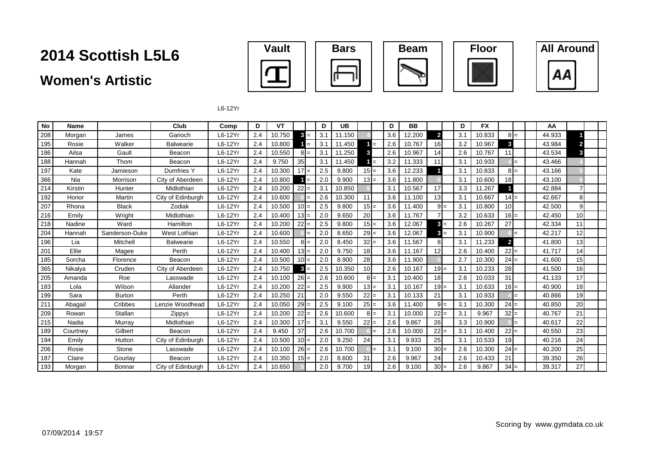### **Women's Artistic**





L6-12Yr

| No  | Name     |                | Club              | Comp      | D   | VT     |                     | D   | UB     |                 |     | D   | <b>BB</b> |                |     | D   | <b>FX</b> |                 |     | AA     |                 |  |
|-----|----------|----------------|-------------------|-----------|-----|--------|---------------------|-----|--------|-----------------|-----|-----|-----------|----------------|-----|-----|-----------|-----------------|-----|--------|-----------------|--|
| 208 | Morgan   | James          | Garioch           | L6-12Yr   | 2.4 | 10.750 | 3<br>$=$            | 3.1 | 11.150 |                 |     | 3.6 | 12.200    | $\overline{2}$ |     | 3.1 | 10.833    | $8I =$          |     | 44.933 |                 |  |
| 195 | Rosie    | Walker         | Balwearie         | $L6-12Yr$ | 2.4 | 10.800 | $=$                 | 3.1 | 11.450 |                 | $=$ | 2.6 | 10.767    | 16             |     | 3.2 | 10.967    | 3               |     | 43.984 |                 |  |
| 186 | Ailsa    | Gault          | Beacon            | L6-12Yr   | 2.4 | 10.550 | $8 =$               | 3.1 | 11.250 | 3               |     | 2.6 | 10.967    | 14             |     | 2.6 | 10.767    | 11              |     | 43.534 | 3               |  |
| 188 | Hannah   | Thom           | Beacon            | $L6-12Yr$ | 2.4 | 9.750  | 35                  | 3.1 | 11.450 |                 |     | 3.2 | 11.333    | 11             |     | 3.1 | 10.933    |                 | $=$ | 43.466 |                 |  |
| 197 | Kate     | Jamieson       | Dumfries Y        | L6-12Yr   | 2.4 | 10.300 | $17 =$              | 2.5 | 9.800  | $15 =$          |     | 3.6 | 12.233    |                |     | 3.1 | 10.833    | $8 =$           |     | 43.166 |                 |  |
| 366 | Nia      | Morrison       | City of Aberdeen  | L6-12Yr   | 2.4 | 10.800 | $=$                 | 2.0 | 9.900  | $13 =$          |     | 3.6 | 11.800    |                |     | 3.1 | 10.600    | 18 <sup>1</sup> |     | 43.100 |                 |  |
| 214 | Kirstin  | Hunter         | Midlothian        | $L6-12Yr$ | 2.4 | 10.200 | $22 =$              | 3.1 | 10.850 |                 |     | 3.1 | 10.567    | 17             |     | 3.3 | 11.267    |                 |     | 42.884 |                 |  |
| 192 | Honor    | Martin         | City of Edinburgh | L6-12Yr   | 2.4 | 10.600 | $=$                 | 2.6 | 10.300 | 11              |     | 3.6 | 11.100    | 13             |     | 3.1 | 10.667    | $14 =$          |     | 42.667 | 8               |  |
| 207 | Rhona    | <b>Black</b>   | Zodiak            | L6-12Yr   | 2.4 | 10.500 | $10 =$              | 2.5 | 9.800  | $15 =$          |     | 3.6 | 11.400    | $9 =$          |     | 3.1 | 10.800    | 10 <sup>1</sup> |     | 42.500 | 9               |  |
| 216 | Emily    | Wright         | Midlothian        | $L6-12Yr$ | 2.4 | 10.400 | $13 =$              | 2.0 | 9.650  | 20              |     | 3.6 | 11.767    |                |     | 3.2 | 10.633    | $16 =$          |     | 42.450 | 10 <sup>1</sup> |  |
| 218 | Nadine   | Ward           | <b>Hamilton</b>   | L6-12Yr   | 2.4 | 10.200 | $22 =$              | 2.5 | 9.800  | $15 =$          |     | 3.6 | 12.067    | $\mathbf{3}$   | $=$ | 2.6 | 10.267    | 27              |     | 42.334 | 11              |  |
| 204 | Hannah   | Sanderson-Duke | West Lothian      | L6-12Yr   | 2.4 | 10.600 |                     | 2.0 | 8.650  | $29 =$          |     | 3.6 | 12.067    | 3              | $=$ | 3.1 | 10.900    |                 | $=$ | 42.217 | 12              |  |
| 196 | Lia      | Mitchell       | <b>Balwearie</b>  | $L6-12Yr$ | 2.4 | 10.550 | $8I=$               | 2.0 | 8.450  | $32 =$          |     | 3.6 | 11.567    | 8              |     | 3.1 | 11.233    | $\mathbf{2}$    |     | 41.800 | 13              |  |
| 201 | Ellie    | Magee          | Perth             | $L6-12Yr$ | 2.4 | 10.400 | $13 =$              | 2.0 | 9.750  | 18              |     | 3.6 | 11.167    | 12             |     | 2.6 | 10.400    | $22 =$          |     | 41.717 | 14              |  |
| 185 | Sorcha   | Florence       | Beacon            | L6-12Yr   | 2.4 | 10.500 | $10 =$              | 2.0 | 8.900  | 28              |     | 3.6 | 11.900    |                |     | 2.7 | 10.300    | $24 =$          |     | 41.600 | 15              |  |
| 365 | Nikalya  | Cruden         | City of Aberdeen  | $L6-12Yr$ | 2.4 | 10.750 | $\mathbf{3}$<br>$=$ | 2.5 | 10.350 | 10 <sup>1</sup> |     | 2.6 | 10.167    | $19 =$         |     | 3.1 | 10.233    | 28              |     | 41.500 | 16              |  |
| 205 | Amanda   | Roe            | Lasswade          | $L6-12Yr$ | 2.4 | 10.100 | $26 =$              | 2.6 | 10.600 | $8 =$           |     | 3.1 | 10.400    | 18             |     | 2.6 | 10.033    | 31              |     | 41.133 | 17              |  |
| 183 | Lola     | Wilson         | Allander          | L6-12Yr   | 2.4 | 10.200 | 22<br>$=$           | 2.5 | 9.900  | $13 =$          |     | 3.1 | 10.167    | $19 =$         |     | 3.1 | 10.633    | $16 =$          |     | 40.900 | 18              |  |
| 199 | Sara     | <b>Burton</b>  | Perth             | $L6-12Yr$ | 2.4 | 10.250 | 21                  | 2.0 | 9.550  | $22 =$          |     | 3.1 | 10.133    | 21             |     | 3.1 | 10.933    |                 | $=$ | 40.866 | 19              |  |
| 211 | Abagail  | Cribbes        | Lenzie Woodhead   | L6-12Yr   | 2.4 | 10.050 | $29 =$              | 2.5 | 9.100  | $25 =$          |     | 3.6 | 11.400    | $9 =$          |     | 3.1 | 10.300    | $24 =$          |     | 40.850 | 20              |  |
| 209 | Rowan    | Stallan        | Zippys            | L6-12Yr   | 2.4 | 10.200 | $22 =$              | 2.6 | 10.600 | $8 =$           |     | 3.1 | 10.000    | $22 =$         |     | 3.1 | 9.967     | $32 =$          |     | 40.767 | 21              |  |
| 215 | Nadia    | Murray         | Midlothian        | L6-12Yr   | 2.4 | 10.300 | $17 =$              | 3.1 | 9.550  | $22 =$          |     | 2.6 | 9.867     | 26             |     | 3.3 | 10.900    |                 | $=$ | 40.617 | 22              |  |
| 189 | Courtney | Gilbert        | Beacon            | L6-12Yr   | 2.4 | 9.450  | 37                  | 2.6 | 10.700 |                 |     | 2.6 | 10.000    | $22 =$         |     | 3.1 | 10.400    | $22 =$          |     | 40.550 | 23              |  |
| 194 | Emily    | Hutton         | City of Edinburgh | L6-12Yr   | 2.4 | 10.500 | $10 =$              | 2.0 | 9.250  | 24              |     | 3.1 | 9.933     | 25             |     | 3.1 | 10.533    | 19              |     | 40.216 | 24              |  |
| 206 | Rosie    | Stone          | Lasswade          | L6-12Yr   | 2.4 | 10.100 | $26 =$              | 2.6 | 10.700 |                 | $=$ | 3.1 | 9.100     | $30 =$         |     | 2.6 | 10.300    | $24 =$          |     | 40.200 | 25              |  |
| 187 | Claire   | Gourlay        | Beacon            | L6-12Yr   | 2.4 | 10.350 | $15 =$              | 2.0 | 8.600  | 31              |     | 2.6 | 9.967     | 24             |     | 2.6 | 10.433    | 21              |     | 39.350 | 26              |  |
| 193 | Morgan   | Bonnar         | City of Edinburgh | L6-12Yr   | 2.4 | 10.650 |                     | 2.0 | 9.700  | 19              |     | 2.6 | 9.100     | $30 =$         |     | 2.6 | 9.867     | $34 =$          |     | 39.317 | 27              |  |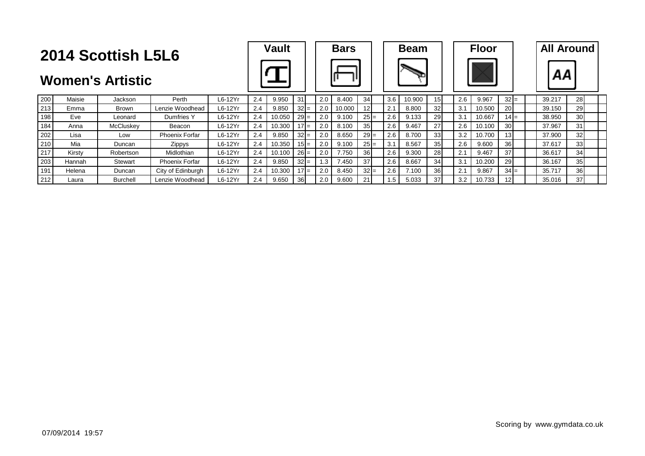|                                                                  | <b>2014 Scottish L5L6</b> |                |                       | <b>Vault</b> |     |        | <b>Bars</b> |           |        | <b>Beam</b>     |                  |        | <b>Floor</b>    |     |        | <b>All Around</b> |  |        |                 |  |
|------------------------------------------------------------------|---------------------------|----------------|-----------------------|--------------|-----|--------|-------------|-----------|--------|-----------------|------------------|--------|-----------------|-----|--------|-------------------|--|--------|-----------------|--|
| <b>Women's Artistic</b><br>Maisie<br>L6-12Yr<br>Perth<br>Jackson |                           |                |                       |              |     |        |             |           |        |                 |                  |        |                 |     |        |                   |  |        |                 |  |
| 200                                                              |                           |                |                       |              | 2.4 | 9.950  | 31          | 2.0       | 8.400  | 34              | 3.6              | 10.900 |                 | 2.6 | 9.967  | $32 =$            |  | 39.217 | <b>28</b>       |  |
| 213                                                              | Emma                      | <b>Brown</b>   | Lenzie Woodhead       | L6-12Yr      | 2.4 | 9.850  | $32 =$      | 2.0       | 10.000 | 12 <sup>1</sup> | 2.1              | 8.800  | 32              | 3.1 | 10.500 | 20                |  | 39.150 | 29              |  |
| 198                                                              | Eve                       | Leonard        | Dumfries Y            | L6-12Yr      | 2.4 | 10.050 | $29 =$      | 2.0       | 9.100  | $25 =$          | 2.6              | 9.133  | <b>29</b>       | 3.1 | 10.667 | $14 =$            |  | 38.950 | 30 <sup>1</sup> |  |
| 184                                                              | Anna                      | McCluskey      | Beacon                | L6-12Yr      | 2.4 | 10.300 | 17 $I$ =    | 2.0       | 8.100  | 35 <sub>l</sub> | 2.6              | 9.467  | 27              | 2.6 | 10.100 | 30                |  | 37.967 | 31              |  |
| 202                                                              | Lisa                      | Low            | <b>Phoenix Forfar</b> | $L6-12Yr$    | 2.4 | 9.850  | $32 =$      | 2.0       | 8.650  | $29 =$          | 2.6              | 8.700  | 33 <sub>1</sub> | 3.2 | 10.700 | 13 <sup>1</sup>   |  | 37.900 | 32              |  |
| 210                                                              | Mia                       | Duncan         | <b>Zippys</b>         | $L6-12Yr$    | 2.4 | 10.350 | $15I =$     | 2.0       | 9.100  | $25 =$          | 3.1              | 8.567  | 35 <sub>l</sub> | 2.6 | 9.600  | 36                |  | 37.617 | 33              |  |
| 217                                                              | Kirstv                    | Robertson      | Midlothian            | $L6-12Yr$    | 2.4 | 10.100 | $26 =$      | 2.0       | 7.750  | 36              | 2.6              | 9.300  | 28              | 2.1 | 9.467  | 37 <sup>1</sup>   |  | 36.617 | 34              |  |
| 203                                                              | Hannah                    | <b>Stewart</b> | <b>Phoenix Forfar</b> | $L6-12Yr$    | 2.4 | 9.850  | $32 =$      | $\cdot$ 3 | 7.450  | 37              | 2.6              | 8.667  | 34              | 3.1 | 10.200 | 29                |  | 36.167 | 35              |  |
| 191                                                              | Helena                    | Duncan         | City of Edinburgh     | $L6-12Yr$    | 2.4 | 10.300 | 17 $I$ =    | 2.0       | 8.450  | $32 =$          | 2.6              | 7.100  | 36 <sup>l</sup> | 2.1 | 9.867  | $34 =$            |  | 35.717 | 36              |  |
| 212                                                              | Laura                     | Burchell       | Lenzie Woodhead       | L6-12Yr      | 2.4 | 9.650  | 36I         | 2.0       | 9.600  |                 | 1.5 <sup>2</sup> | 5.033  | 37'             | 3.2 | 10.733 | 12 <sub>l</sub>   |  | 35.016 | 37              |  |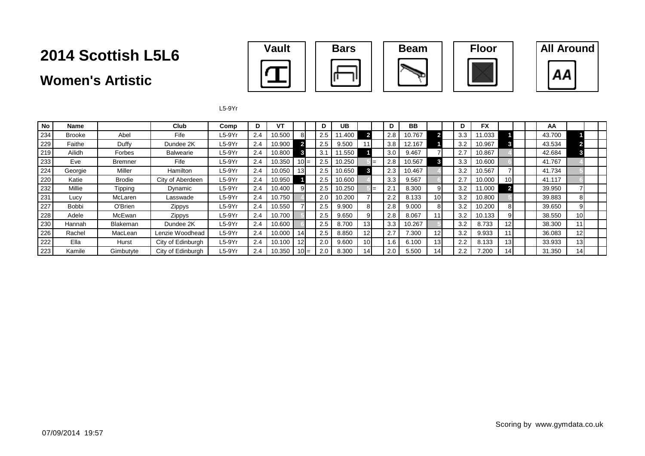### **Women's Artistic**



L5-9Yr

| <b>No</b> | <b>Name</b>   |                 | Club              | Comp     | D.  | ۷T     |                 | D   | UB     |                 |     | D   | <b>BB</b> |     |     | <b>FX</b> |                 |  | AA     |                 |  |
|-----------|---------------|-----------------|-------------------|----------|-----|--------|-----------------|-----|--------|-----------------|-----|-----|-----------|-----|-----|-----------|-----------------|--|--------|-----------------|--|
| 234       | <b>Brooke</b> | Abel            | Fife              | $L5-9Yr$ | 2.4 | 10.500 | 81              | 2.5 | 1.400  |                 |     | 2.8 | 10.767    |     | 3.3 | 11.033    |                 |  | 43.700 |                 |  |
| 229       | Faithe        | Duffy           | Dundee 2K         | $L5-9Yr$ | 2.4 | 10.900 |                 | 2.5 | 9.500  |                 |     | 3.8 | 12.167    |     | 3.2 | 10.967    |                 |  | 43.534 |                 |  |
| 219       | Ailidh        | Forbes          | Balwearie         | $L5-9Yr$ | 2.4 | 10.800 |                 | 3.1 | 1.550  |                 |     | 3.0 | 9.467     |     | 2.7 | 10.867    |                 |  | 42.684 |                 |  |
| 233       | Eve           | Bremner         | Fife              | $L5-9Yr$ | 2.4 | 10.350 | $10 =$          | 2.5 | 10.250 |                 | $=$ | 2.8 | 10.567    |     | 3.3 | 10.600    |                 |  | 41.767 |                 |  |
| 224       | Georgie       | Miller          | <b>Hamilton</b>   | $L5-9Yr$ | 2.4 | 10.050 | 13 <sup>l</sup> | 2.5 | 10.650 |                 |     | 2.3 | 10.467    |     | 3.2 | 10.567    |                 |  | 41.734 |                 |  |
| 220       | Katie         | Brodie          | City of Aberdeen  | $L5-9Yr$ | 2.4 | 10.950 |                 | 2.5 | 10.600 |                 |     | 3.3 | 9.567     |     | 2.7 | 10.000    | 10 <sup>1</sup> |  | 41.117 |                 |  |
| 232       | Millie        | Tipping         | Dynamic           | $L5-9Yr$ | 2.4 | 10.400 | 91              | 2.5 | 10.250 |                 | $=$ | 2.1 | 8.300     |     | 3.2 | 11.000    |                 |  | 39.950 |                 |  |
| 231       | Lucy          | McLaren         | Lasswade          | $L5-9Yr$ | 2.4 | 10.750 |                 | 2.0 | 10.200 |                 |     | 2.2 | 8.133     |     | 3.2 | 10.800    |                 |  | 39.883 | 81              |  |
| 227       | <b>Bobbi</b>  | O'Brien         | Zippys            | $L5-9Yr$ | 2.4 | 10.550 |                 | 2.5 | 9.900  | 8               |     | 2.8 | 9.000     |     | 3.2 | 10.200    | 81              |  | 39.650 | 91              |  |
| 228       | Adele         | McEwan          | Zippys            | $L5-9Yr$ | 2.4 | 10.700 |                 | 2.5 | 9.650  |                 |     | 2.8 | 8.067     |     | 3.2 | 10.133    | 91              |  | 38.550 | 10 <sup>1</sup> |  |
| 230       | Hannah        | <b>Blakeman</b> | Dundee 2K         | $L5-9Yr$ | 2.4 | 10.600 |                 | 2.5 | 8.700  | 13 <sup>l</sup> |     | 3.3 | 10.267    |     | 3.2 | 8.733     | 12I             |  | 38.300 | 111             |  |
| 226       | Rachel        | MacLean         | Lenzie Woodhead   | $L5-9Yr$ | 2.4 | 10.000 | 14              | 2.5 | 8.850  | 12 <sup>1</sup> |     | 2.7 | 7.300     | 12  | 3.2 | 9.933     |                 |  | 36.083 | 12 <sup>1</sup> |  |
| 222       | Ella          | Hurst           | City of Edinburgh | $L5-9Yr$ | 2.4 | 10.100 | 12              | 2.0 | 9.600  | 10 <sup>1</sup> |     | 1.6 | 6.100     | 131 | 2.2 | 8.133     | 13 <sup>l</sup> |  | 33.933 | 13 <sup>l</sup> |  |
| 223       | Kamile        | Gimbutyte       | City of Edinburgh | $L5-9Yr$ | 2.4 | 10.350 | 10 I=           | 2.0 | 8.300  | 14              |     | 2.0 | 5.500     | 14. | 2.2 | 7.200     | 14 I            |  | 31.350 | 14              |  |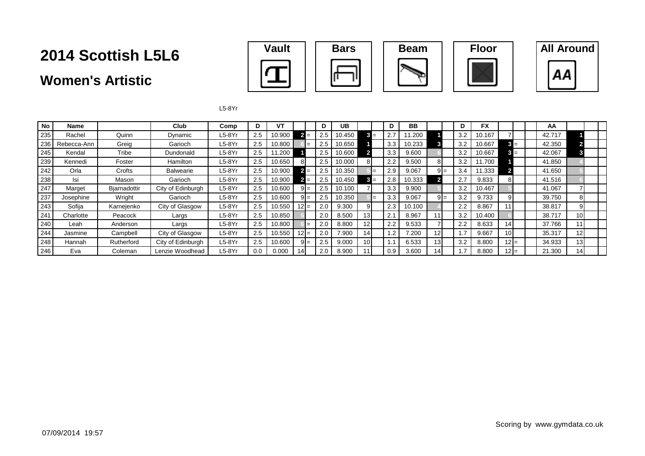### **Women's Artistic**



L5-8Yr

| <b>No</b> | Name        |              | <b>Club</b>       | Comp     | D   | VT     |         |     | D               | UB     |                 |       | D   | <b>BB</b> |                 |        |     | <b>FX</b> |                 |  | AA     |                 |  |
|-----------|-------------|--------------|-------------------|----------|-----|--------|---------|-----|-----------------|--------|-----------------|-------|-----|-----------|-----------------|--------|-----|-----------|-----------------|--|--------|-----------------|--|
| 235       | Rachel      | Quinn        | Dvnamic           | $L5-8Yr$ | 2.5 | 10.900 | $2 =$   |     | 2.5             | 0.450  |                 | $3 =$ | 2.7 | 1.200     |                 |        | 3.2 | 10.167    |                 |  | 42.717 |                 |  |
| 236       | Rebecca-Ann | Greig        | Garioch           | $L5-8Yr$ | 2.5 | 10.800 |         |     | 2.5             | 0.650  |                 |       | 3.3 | 10.233    |                 |        | 3.2 | 10.667    | $3 =$           |  | 42.350 |                 |  |
| 245       | Kendal      | Tribe        | Dundonald         | $L5-8Yr$ | 2.5 | 1.200  |         |     | 2.5             | 10.600 |                 |       | 3.3 | 9.600     |                 |        | 3.2 | 10.667    | $3 =$           |  | 42.067 |                 |  |
| 239       | Kennedi     | Foster       | Hamilton          | $L5-8Yr$ | 2.5 | 10.650 | 81      |     | 2.5             | 10.000 | 8               |       | 2.2 | 9.500     |                 |        | 3.2 | 11.700    |                 |  | 41.850 |                 |  |
| 242       | Orla        | Crofts       | Balwearie         | $L5-8Yr$ | 2.5 | 10.900 | $2 =$   |     | 2.5             | 10.350 |                 | $=$   | 2.9 | 9.067     |                 | $9I =$ | 3.4 | 11.333    |                 |  | 41.650 |                 |  |
| 238       | Isi         | Mason        | Garioch           | $L5-8Yr$ | 2.5 | 10.900 | $2 =$   |     | 2.5             | 10.450 |                 | $3 =$ | 2.8 | 10.333    |                 |        | 2.7 | 9.833     | 81              |  | 41.516 |                 |  |
| 247       | Marget      | Bjarnadottir | City of Edinburgh | $L5-8Yr$ | 2.5 | 10.600 | $9I=$   |     | 2.5             | 10.100 |                 |       | 3.3 | 9.900     |                 |        | 3.2 | 10.467    |                 |  | 41.067 |                 |  |
| 237       | Josephine   | Wright       | Garioch           | $L5-8Yr$ | 2.5 | 10.600 | $9I=$   |     | 2.5             | 10.350 |                 | $=$   | 3.3 | 9.067     |                 | $9 =$  | 3.2 | 9.733     | 91              |  | 39.750 | 81              |  |
| 243       | Sofija      | Karnejenko   | City of Glasgow   | $L5-8Yr$ | 2.5 | 10.550 | $12 =$  |     | 2.0             | 9.300  | 9               |       | 2.3 | 10.100    |                 |        | 2.2 | 8.867     |                 |  | 38.817 | 91              |  |
| 241       | Charlotte   | Peacock      | Largs             | $L5-8Yr$ | 2.5 | 10.850 |         |     | 2.0             | 8.500  | 13 <sup>l</sup> |       | 2.1 | 8.967     |                 |        | 3.2 | 10.400    |                 |  | 38.717 | 10 <sup>1</sup> |  |
| 240       | Leah        | Anderson     | Largs             | $L5-8Yr$ | 2.5 | 10.800 |         | $=$ | 2.0             | 8.800  | 12 <sup>1</sup> |       | 2.2 | 9.533     |                 |        | 2.2 | 8.633     | 14I             |  | 37.766 | 11              |  |
| 244       | Jasmine     | Campbell     | City of Glasgow   | $L5-8Yr$ | 2.5 | 10.550 | $ 2  =$ |     | 2. <sub>C</sub> | 7.900  | 14              |       | 1.2 | 7.200     | 12 <sub>1</sub> |        |     | 9.667     | 10 <sup>1</sup> |  | 35.317 | 12 <sup>1</sup> |  |
| 248       | Hannah      | Rutherford   | City of Edinburgh | $L5-8Yr$ | 2.5 | 10.600 | $9I=$   |     | 2.5             | 9.000  | 10 <sup>1</sup> |       | 1.1 | 6.533     | 13 <sub>1</sub> |        | 3.2 | 8.800     | 12 I=           |  | 34.933 | 13 <sup>l</sup> |  |
| 246       | Eva         | Coleman      | Lenzie Woodhead   | $L5-8Yr$ | 0.0 | 0.000  |         |     | 2.0             | 8.900  |                 |       | 0.9 | 3.600     | 14.             |        |     | 8.800     | $12I =$         |  | 21.300 | 14              |  |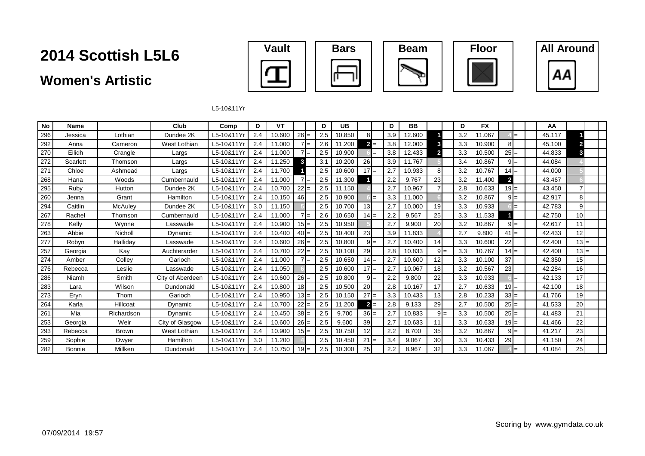### **Women's Artistic**









L5-10&11Yr

| No  | <b>Name</b>   |              | Club             | Comp      | D   | VT     |        | D   | <b>UB</b> |                |       | D   | <b>BB</b> |                 | D   | <b>FX</b> |                |       | AA     |                 |  |
|-----|---------------|--------------|------------------|-----------|-----|--------|--------|-----|-----------|----------------|-------|-----|-----------|-----------------|-----|-----------|----------------|-------|--------|-----------------|--|
| 296 | Jessica       | Lothian      | Dundee 2K        | L5-10&11Y | 2.4 | 10.600 | $26 =$ | 2.5 | 10.850    | 8              |       | 3.9 | 12.600    |                 | 3.2 | 11.067    |                | $=$   | 45.117 |                 |  |
| 292 | Anna          | Cameron      | West Lothian     | L5-10&11Y | 2.4 | 11.000 | $7 =$  | 2.6 | 11.200    | $\overline{2}$ | $=$   | 3.8 | 12.000    | 3               | 3.3 | 10.900    | 8              |       | 45.100 | 2               |  |
| 270 | Eilidh        | Crangle      | Largs            | L5-10&11Y | 2.4 | 11.000 | $7l =$ | 2.5 | 10.900    |                | $=$   | 3.8 | 12.433    | $\overline{2}$  | 3.3 | 10.500    | $25 =$         |       | 44.833 | 3               |  |
| 272 | Scarlett      | Thomson      | Largs            | L5-10&11Y | 2.4 | 11.250 | 3      | 3.1 | 10.200    | 26             |       | 3.9 | 11.767    |                 | 3.4 | 10.867    |                | $9 =$ | 44.084 |                 |  |
| 271 | Chloe         | Ashmead      | Largs            | L5-10&11Y | 2.4 | 11.700 |        | 2.5 | 10.600    | $17 =$         |       | 2.7 | 10.933    | 81              | 3.2 | 10.767    | $14I$ =        |       | 44.000 |                 |  |
| 268 | Hana          | Woods        | Cumbernauld      | L5-10&11Y | 2.4 | 11.000 | $7l =$ | 2.5 | 11.300    |                |       | 2.2 | 9.767     | 23              | 3.2 | 11.400    | $\overline{2}$ |       | 43.467 |                 |  |
| 295 | Ruby          | Hutton       | Dundee 2K        | L5-10&11Y | 2.4 | 10.700 | $22 =$ | 2.5 | 11.150    |                |       | 2.7 | 10.967    |                 | 2.8 | 10.633    | $19 =$         |       | 43.450 |                 |  |
| 260 | Jenna         | Grant        | Hamilton         | L5-10&11Y | 2.4 | 10.150 | 46     | 2.5 | 10.900    |                | $=$   | 3.3 | 11.000    |                 | 3.2 | 10.867    |                | $9 =$ | 42.917 | 8 <sup>1</sup>  |  |
| 294 | Caitlin       | McAuley      | Dundee 2K        | L5-10&11Y | 3.0 | 11.150 |        | 2.5 | 10.700    | 13             |       | 2.7 | 10.000    | 19 <sup>l</sup> | 3.3 | 10.933    |                | $=$   | 42.783 | g               |  |
| 267 | Rachel        | Thomson      | Cumbernauld      | L5-10&11Y | 2.4 | 11.000 | $7l =$ | 2.6 | 10.650    | $14 =$         |       | 2.2 | 9.567     | 25              | 3.3 | 11.533    |                |       | 42.750 | 10 <sup>1</sup> |  |
| 278 | Kelly         | Wynne        | Lasswade         | L5-10&11Y | 2.4 | 10.900 | $15 =$ | 2.5 | 10.950    |                |       | 2.7 | 9.900     | 20              | 3.2 | 10.867    |                | $9 =$ | 42.617 | 11              |  |
| 263 | Abbie         | Nicholl      | Dynamic          | L5-10&11Y | 2.4 | 10.400 | $40 =$ | 2.5 | 10.400    | 23             |       | 3.9 | 11.833    |                 | 2.7 | 9.800     | $41 =$         |       | 42.433 | 12              |  |
| 277 | Robyn         | Halliday     | Lasswade         | L5-10&11Y | 2.4 | 10.600 | $26 =$ | 2.5 | 10.800    |                | $9 =$ | 2.7 | 10.400    | 14              | 3.3 | 10.600    | 22             |       | 42.400 | $13 =$          |  |
| 257 | Georgia       | Kay          | Auchterarder     | L5-10&11Y | 2.4 | 10.700 | $22 =$ | 2.5 | 10.100    | 29             |       | 2.8 | 10.833    | $9I=$           | 3.3 | 10.767    | $14 =$         |       | 42.400 | $13 =$          |  |
| 274 | Amber         | Colley       | Garioch          | L5-10&11Y | 2.4 | 11.000 | $7 =$  | 2.5 | 10.650    | $14 =$         |       | 2.7 | 10.600    | 12 <sup>1</sup> | 3.3 | 10.100    | 37             |       | 42.350 | 15              |  |
| 276 | Rebecca       | Leslie       | Lasswade         | L5-10&11Y | 2.4 | 11.050 |        | 2.5 | 10.600    | $17 =$         |       | 2.7 | 10.067    | 18              | 3.2 | 10.567    | 23             |       | 42.284 | 16              |  |
| 286 | Niamh         | Smith        | City of Aberdeen | L5-10&11Y | 2.4 | 10.600 | $26 =$ | 2.5 | 10.800    |                | $9 =$ | 2.2 | 9.800     | 22              | 3.3 | 10.933    |                | $=$   | 42.133 | 17              |  |
| 283 | Lara          | Wilson       | Dundonald        | L5-10&11Y | 2.4 | 10.800 | 18     | 2.5 | 10.500    | 20             |       | 2.8 | 10.167    | 17              | 2.7 | 10.633    | $19$ =         |       | 42.100 | 18              |  |
| 273 | Eryn          | Thom         | Garioch          | L5-10&11Y | 2.4 | 10.950 | $13 =$ | 2.5 | 10.150    | $27 =$         |       | 3.3 | 10.433    | 13 <sup>1</sup> | 2.8 | 10.233    | $33 =$         |       | 41.766 | 19              |  |
| 264 | Karla         | Hillcoat     | Dynamic          | L5-10&11Y | 2.4 | 10.700 | $22 =$ | 2.5 | 11.200    |                | $2 =$ | 2.8 | 9.133     | 29              | 2.7 | 10.500    | $25 =$         |       | 41.533 | 20              |  |
| 261 | Mia           | Richardson   | Dynamic          | L5-10&11Y | 2.4 | 10.450 | $38 =$ | 2.5 | 9.700     | $36 =$         |       | 2.7 | 10.833    | $9 =$           | 3.3 | 10.500    | $25 =$         |       | 41.483 | 21              |  |
| 253 | Georgia       | Weir         | City of Glasgow  | L5-10&11Y | 2.4 | 10.600 | $26 =$ | 2.5 | 9.600     | 39             |       | 2.7 | 10.633    | 11              | 3.3 | 10.633    | $19 =$         |       | 41.466 | 22              |  |
| 293 | Rebecca       | <b>Brown</b> | West Lothian     | L5-10&11Y | 2.4 | 10.900 | $15 =$ | 2.5 | 10.750    | 12             |       | 2.2 | 8.700     | 35              | 3.2 | 10.867    | $9 =$          |       | 41.217 | 23              |  |
| 259 | Sophie        | Dwyer        | Hamilton         | L5-10&11Y | 3.0 | 11.200 |        | 2.5 | 10.450    | $21 =$         |       | 3.4 | 9.067     | 30 <sup>l</sup> | 3.3 | 10.433    | 29             |       | 41.150 | 24              |  |
| 282 | <b>Bonnie</b> | Millken      | Dundonald        | L5-10&11Y | 2.4 | 10.750 | $19 =$ | 2.5 | 10.300    | 25             |       | 2.2 | 8.967     | 32              | 3.3 | 11.067    |                | $=$   | 41.084 | 25              |  |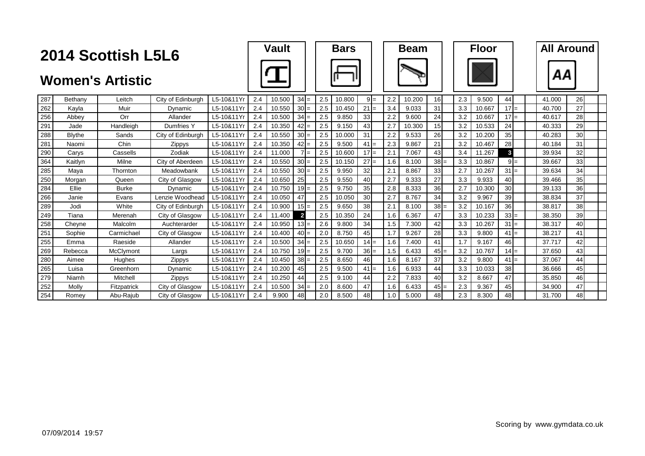| 2014 Scottish L5L6 |                         |              |                   |            |     | <b>Vault</b> |                 | <b>Bars</b> |        |        | <b>Beam</b> |        |        |  | <b>Floor</b> |        |                 |       |  | <b>All Around</b> |    |  |
|--------------------|-------------------------|--------------|-------------------|------------|-----|--------------|-----------------|-------------|--------|--------|-------------|--------|--------|--|--------------|--------|-----------------|-------|--|-------------------|----|--|
|                    | <b>Women's Artistic</b> |              |                   |            |     |              |                 |             |        |        |             |        |        |  |              |        |                 |       |  | ΑА                |    |  |
| 287                | Bethany                 | Leitch       | City of Edinburgh | L5-10&11Yr | 2.4 | 10.500       | $34 =$          | 2.5         | 10.800 | $9 =$  | 2.2         | 10.200 | 16     |  | 2.3          | 9.500  | 44              |       |  | 41.000            | 26 |  |
| 262                | Kayla                   | Muir         | Dynamic           | L5-10&11Yr | 2.4 | 10.550       | $30 =$          | 2.5         | 10.450 | $21 =$ | 3.4         | 9.033  | 31     |  | 3.3          | 10.667 | $17 =$          |       |  | 40.700            | 27 |  |
| 256                | Abbey                   | Orr          | Allander          | L5-10&11Yr | 2.4 | 10.500       | $34 =$          | 2.5         | 9.850  | 33     | 2.2         | 9.600  | 24     |  | 3.2          | 10.667 | $17 =$          |       |  | 40.617            | 28 |  |
| 291                | Jade                    | Handleigh    | Dumfries Y        | L5-10&11Yr | 2.4 | 10.350       | $42 =$          | 2.5         | 9.150  | 43     | 2.7         | 10.300 | 15     |  | 3.2          | 10.533 | 24              |       |  | 40.333            | 29 |  |
| 288                | <b>Blythe</b>           | Sands        | City of Edinburgh | L5-10&11Yr | 2.4 | 10.550       | $30 =$          | 2.5         | 10.000 | 31     | 2.2         | 9.533  | 26     |  | 3.2          | 10.200 | 35              |       |  | 40.283            | 30 |  |
| 281                | Naomi                   | Chin         | Zippys            | L5-10&11Yr | 2.4 | 10.350       | $42 =$          | 2.5         | 9.500  | $41 =$ | 2.3         | 9.867  | 21     |  | 3.2          | 10.467 | 28              |       |  | 40.184            | 31 |  |
| 290                | Carys                   | Cassells     | Zodiak            | L5-10&11Yr | 2.4 | 11.000       | $7 =$           | 2.5         | 10.600 | $17 =$ | 2.1         | 7.067  | 43     |  | 3.4          | 11.267 | $\mathbf{3}$    |       |  | 39.934            | 32 |  |
| 364                | Kaitlyn                 | Milne        | City of Aberdeen  | L5-10&11Yr | 2.4 | 10.550       | $30 =$          | 2.5         | 10.150 | $27 =$ | 1.6         | 8.100  | $38 =$ |  | 3.3          | 10.867 |                 | $9 =$ |  | 39.667            | 33 |  |
| 285                | Mava                    | Thornton     | Meadowbank        | L5-10&11Yr | 2.4 | 10.550       | $30 =$          | 2.5         | 9.950  | 32     | 2.1         | 8.867  | 33     |  | 2.7          | 10.267 | $31 =$          |       |  | 39.634            | 34 |  |
| 250                | Morgan                  | Queen        | City of Glasgow   | L5-10&11Yr | 2.4 | 10.650       | 25              | 2.5         | 9.550  | 40     | 2.7         | 9.333  | 27     |  | 3.3          | 9.933  | 40              |       |  | 39.466            | 35 |  |
| 284                | Ellie                   | <b>Burke</b> | Dynamic           | L5-10&11Yr | 2.4 | 10.750       | $19 =$          | 2.5         | 9.750  | 35     | 2.8         | 8.333  | 36     |  | 2.7          | 10.300 | 30 <sub>1</sub> |       |  | 39.133            | 36 |  |
| 266                | Janie                   | Evans        | Lenzie Woodhead   | L5-10&11Yr | 2.4 | 10.050       | 47              | 2.5         | 10.050 | 30     | 2.7         | 8.767  | 34     |  | 3.2          | 9.967  | 39              |       |  | 38.834            | 37 |  |
| 289                | Jodi                    | White        | City of Edinburgh | L5-10&11Yr | 2.4 | 10.900       | $15 =$          | 2.5         | 9.650  | 38     | 2.1         | 8.100  | $38 =$ |  | 3.2          | 10.167 | 36              |       |  | 38.817            | 38 |  |
| 249                | Tiana                   | Merenah      | City of Glasgow   | L5-10&11Yr | 2.4 | 11.400       | $\overline{2}$  | 2.5         | 10.350 | 24     | 1.6         | 6.367  | 47     |  | 3.3          | 10.233 | $33 =$          |       |  | 38.350            | 39 |  |
| 258                | Cheyne                  | Malcolm      | Auchterarder      | L5-10&11Yr | 2.4 | 10.950       | $13I =$         | 2.6         | 9.800  | 34     | 1.5         | 7.300  | 42     |  | 3.3          | 10.267 | $31 =$          |       |  | 38.317            | 40 |  |
| 251                | Sophie                  | Carmichael   | City of Glasgow   | L5-10&11Yr | 2.4 | 10.400       | $40 =$          | 2.0         | 8.750  | 45     | 1.7         | 9.267  | 28     |  | 3.3          | 9.800  | $41 =$          |       |  | 38.217            | 41 |  |
| 255                | Emma                    | Raeside      | Allander          | L5-10&11Yr | 2.4 | 10.500       | $34 =$          | 2.5         | 10.650 | $14 =$ | 1.6         | 7.400  | 41     |  | 1.7          | 9.167  | 46              |       |  | 37.717            | 42 |  |
| 269                | Rebecca                 | McClymont    | Largs             | L5-10&11Yr | 2.4 | 10.750       | $19 =$          | 2.5         | 9.700  | $36 =$ | 1.5         | 6.433  | $45 =$ |  | 3.2          | 10.767 | $14 =$          |       |  | 37.650            | 43 |  |
| 280                | Aimee                   | Hughes       | Zippys            | L5-10&11Yr | 2.4 | 10.450       | $38 =$          | 2.5         | 8.650  | 46     | 1.6         | 8.167  | 37     |  | 3.2          | 9.800  | $41 =$          |       |  | 37.067            | 44 |  |
| 265                | Luisa                   | Greenhorn    | Dynamic           | L5-10&11Yr | 2.4 | 10.200       | 45              | 2.5         | 9.500  | $41 =$ | 1.6         | 6.933  | 44     |  | 3.3          | 10.033 | 38              |       |  | 36.666            | 45 |  |
| 279                | Niamh                   | Mitchell     | Zippys            | L5-10&11Yr | 2.4 | 10.250       | 44              | 2.5         | 9.100  | 44     | 2.2         | 7.833  | 40     |  | 3.2          | 8.667  | 47              |       |  | 35.850            | 46 |  |
| 252                | Molly                   | Fitzpatrick  | City of Glasgow   | L5-10&11Yr | 2.4 | 10.500       | $34 =$          | 2.0         | 8.600  | 47     | 1.6         | 6.433  | $45 =$ |  | 2.3          | 9.367  | 45              |       |  | 34.900            | 47 |  |
| 254                | Romev                   | Abu-Rajub    | City of Glasgow   | L5-10&11Yr | 2.4 | 9.900        | 48 <sup>l</sup> | 2.0         | 8.500  | 48     | 1.0         | 5.000  | 48     |  | 2.3          | 8.300  | 48              |       |  | 31.700            | 48 |  |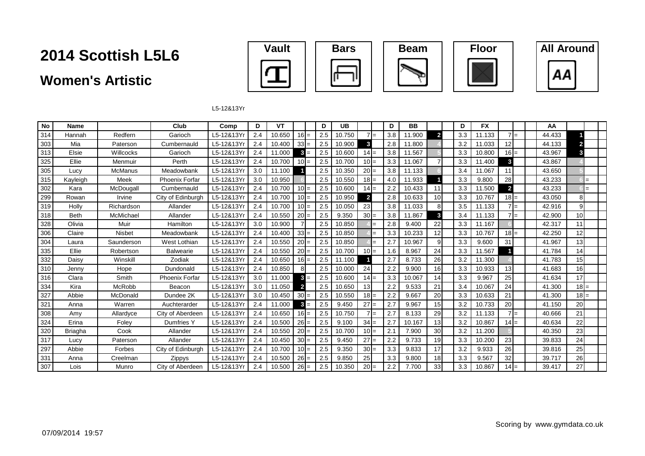### **Women's Artistic**









L5-12&13Yr

| No  | Name           |                | Club                  | Comp       | D   | VT     |                | D   | <b>UB</b> |                |       | D   | BB     |                | D   | <b>FX</b> |                 | AA     |                          |  |
|-----|----------------|----------------|-----------------------|------------|-----|--------|----------------|-----|-----------|----------------|-------|-----|--------|----------------|-----|-----------|-----------------|--------|--------------------------|--|
| 314 | Hannah         | Redfern        | Garioch               | L5-12&13Y  | 2.4 | 10.650 | $16 =$         | 2.5 | 10.750    |                | $7 =$ | 3.8 | 11.900 | $\overline{2}$ | 3.3 | 11.133    | $7 =$           | 44.433 |                          |  |
| 303 | Mia            | Paterson       | Cumbernauld           | L5-12&13Y  | 2.4 | 10.400 | $33 =$         | 2.5 | 10.900    | $\mathbf{3}$   |       | 2.8 | 11.800 |                | 3.2 | 11.033    | 12l             | 44.133 | $\overline{\phantom{a}}$ |  |
| 313 | Elsie          | Willcocks      | Garioch               | L5-12&13Yr | 2.4 | 11.000 | $3 =$          | 2.5 | 10.600    | $14 =$         |       | 3.8 | 11.567 |                | 3.3 | 10.800    | $16 =$          | 43.967 | 3                        |  |
| 325 | Ellie          | Menmuir        | Perth                 | L5-12&13Y  | 2.4 | 10.700 | $10 =$         | 2.5 | 10.700    | $10 =$         |       | 3.3 | 11.067 |                | 3.3 | 11.400    | 3               | 43.867 |                          |  |
| 305 | Lucy           | <b>McManus</b> | Meadowbank            | L5-12&13Y  | 3.0 | 11.100 |                | 2.5 | 10.350    | $20 =$         |       | 3.8 | 11.133 |                | 3.4 | 11.067    | 11              | 43.650 |                          |  |
| 315 | Kayleigh       | Meek           | <b>Phoenix Forfar</b> | L5-12&13Y  | 3.0 | 10.950 |                | 2.5 | 10.550    | $18 =$         |       | 4.0 | 11.933 |                | 3.3 | 9.800     | 28              | 43.233 | $=$                      |  |
| 302 | Kara           | McDougall      | Cumbernauld           | L5-12&13Y  | 2.4 | 10.700 | $10 =$         | 2.5 | 10.600    | $14 =$         |       | 2.2 | 10.433 | 11             | 3.3 | 11.500    | $\overline{2}$  | 43.233 | $=$                      |  |
| 299 | Rowan          | Irvine         | City of Edinburgh     | L5-12&13Y  | 2.4 | 10.700 | $10 =$         | 2.5 | 10.950    | $\overline{2}$ |       | 2.8 | 10.633 | 10             | 3.3 | 10.767    | $18 =$          | 43.050 | 8                        |  |
| 319 | Holly          | Richardson     | Allander              | L5-12&13Yr | 2.4 | 10.700 | $10 =$         | 2.5 | 10.050    | 23             |       | 3.8 | 11.033 | 8              | 3.5 | 11.133    | $7 =$           | 42.916 | 9 <sub>l</sub>           |  |
| 318 | <b>Beth</b>    | McMichael      | Allander              | L5-12&13Y  | 2.4 | 10.550 | $20 =$         | 2.5 | 9.350     | $30 =$         |       | 3.8 | 11.867 | 3              | 3.4 | 11.133    | $7 =$           | 42.900 | 10 <sup>1</sup>          |  |
| 328 | Olivia         | Muir           | Hamilton              | L5-12&13Y  | 3.0 | 10.900 |                | 2.5 | 10.850    |                | $=$   | 2.8 | 9.400  | 22             | 3.3 | 11.167    |                 | 42.317 | 11                       |  |
| 306 | Claire         | Nisbet         | Meadowbank            | L5-12&13Y  | 2.4 | 10.400 | $33 =$         | 2.5 | 10.850    |                | $=$   | 3.3 | 10.233 | 12             | 3.3 | 10.767    | $18 =$          | 42.250 | 12                       |  |
| 304 | Laura          | Saunderson     | West Lothian          | L5-12&13Y  | 2.4 | 10.550 | $20 =$         | 2.5 | 10.850    |                | $=$   | 2.7 | 10.967 | 9              | 3.3 | 9.600     | 31              | 41.967 | 13                       |  |
| 335 | Ellie          | Robertson      | <b>Balwearie</b>      | L5-12&13Y  | 2.4 | 10.550 | $20 =$         | 2.5 | 10.700    | $10 =$         |       | 1.6 | 8.967  | 24             | 3.3 | 11.567    |                 | 41.784 | 14                       |  |
| 332 | Daisy          | Winskill       | Zodiak                | L5-12&13Yr | 2.4 | 10.650 | $16 =$         | 2.5 | 11.100    |                |       | 2.7 | 8.733  | 26             | 3.2 | 11.300    |                 | 41.783 | 15                       |  |
| 310 | Jenny          | Hope           | Dundonald             | L5-12&13Y  | 2.4 | 10.850 |                | 2.5 | 10.000    | 24             |       | 2.2 | 9.900  | 16             | 3.3 | 10.933    | 13 <sup>1</sup> | 41.683 | 16                       |  |
| 316 | Clara          | Smith          | <b>Phoenix Forfar</b> | L5-12&13Y  | 3.0 | 11.000 | $3 =$          | 2.5 | 10.600    | $14 =$         |       | 3.3 | 10.067 | 14             | 3.3 | 9.967     | 25              | 41.634 | 17                       |  |
| 334 | Kira           | McRobb         | Beacon                | L5-12&13Y  | 3.0 | 11.050 | $\overline{2}$ | 2.5 | 10.650    | 13             |       | 2.2 | 9.533  | 21             | 3.4 | 10.067    | 24              | 41.300 | $18 =$                   |  |
| 327 | Abbie          | McDonald       | Dundee 2K             | L5-12&13Y  | 3.0 | 10.450 | $30 =$         | 2.5 | 10.550    | $18 =$         |       | 2.2 | 9.667  | 20             | 3.3 | 10.633    | 21              | 41.300 | $18 =$                   |  |
| 321 | Anna           | Warren         | Auchterarder          | L5-12&13Yr | 2.4 | 11.000 | $3 =$          | 2.5 | 9.450     | $27 =$         |       | 2.7 | 9.967  | 15             | 3.2 | 10.733    | 20              | 41.150 | 20                       |  |
| 308 | Amy            | Allardyce      | City of Aberdeen      | L5-12&13Y  | 2.4 | 10.650 | $16 =$         | 2.5 | 10.750    |                | $7 =$ | 2.7 | 8.133  | 29             | 3.2 | 11.133    | $7 =$           | 40.666 | 21                       |  |
| 324 | Erina          | Foley          | Dumfries Y            | L5-12&13Y  | 2.4 | 10.500 | $26 =$         | 2.5 | 9.100     | $34 =$         |       | 2.7 | 10.167 | 13             | 3.2 | 10.867    | $14 =$          | 40.634 | 22                       |  |
| 320 | <b>Briagha</b> | Cook           | Allander              | L5-12&13Yr | 2.4 | 10.550 | $20 =$         | 2.5 | 10.700    | $10 =$         |       | 2.1 | 7.900  | 30             | 3.2 | 11.200    |                 | 40.350 | 23                       |  |
| 317 | Lucy           | Paterson       | Allander              | L5-12&13Yr | 2.4 | 10.450 | $30 =$         | 2.5 | 9.450     | $27 =$         |       | 2.2 | 9.733  | 19             | 3.3 | 10.200    | 23              | 39.833 | 24                       |  |
| 297 | Abbie          | Forbes         | City of Edinburgh     | L5-12&13Y  | 2.4 | 10.700 | $10 =$         | 2.5 | 9.350     | $30 =$         |       | 3.3 | 9.833  | 17             | 3.2 | 9.933     | 26              | 39.816 | 25                       |  |
| 331 | Anna           | Creelman       | Zippys                | L5-12&13Yr | 2.4 | 10.500 | $26 =$         | 2.5 | 9.850     | 25             |       | 3.3 | 9.800  | 18             | 3.3 | 9.567     | 32              | 39.717 | 26                       |  |
| 307 | Lois           | Munro          | City of Aberdeen      | L5-12&13Yr | 2.4 | 10.500 | $26 =$         | 2.5 | 10.350    | $20 =$         |       | 2.2 | 7.700  | 33             | 3.3 | 10.867    | $14 =$          | 39.417 | 27                       |  |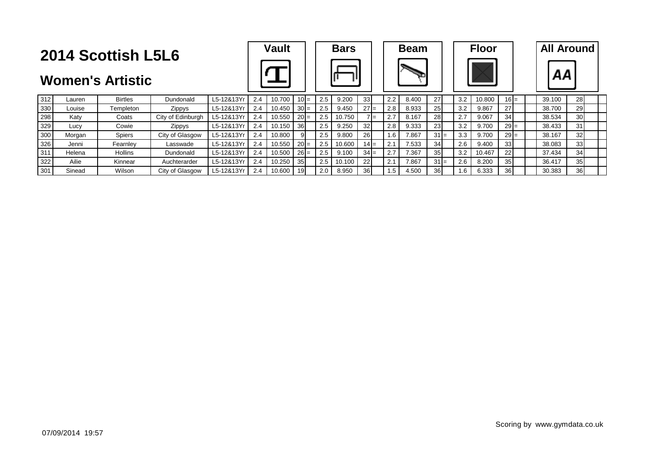|                         | <b>2014 Scottish L5L6</b> | <b>Vault</b>   |                   |            | <b>Bars</b> |        |                 |     |        | <b>Beam</b> |                 |     | <b>Floor</b> |                 |     | <b>All Around</b> |                 |  |        |                 |  |
|-------------------------|---------------------------|----------------|-------------------|------------|-------------|--------|-----------------|-----|--------|-------------|-----------------|-----|--------------|-----------------|-----|-------------------|-----------------|--|--------|-----------------|--|
| <b>Women's Artistic</b> |                           |                |                   |            |             |        |                 |     |        |             |                 |     |              |                 |     |                   |                 |  | АΑ     |                 |  |
| 312                     | Lauren                    | <b>Birtles</b> | Dundonald         | L5-12&13Yı | 2.4         | 10.700 | $10I$ =         | 2.5 | 9.200  |             | 33 <sub>l</sub> | 2.2 | 8.400        | 27              | 3.2 | 10.800            | $16 =$          |  | 39.100 | 28              |  |
| 330                     | Louise                    | Templeton      | Zippys            | L5-12&13Yr | 2.4         | 10.450 | $30 =$          | 2.5 | 9.450  |             | $27 =$          | 2.8 | 8.933        | 25              | 3.2 | 9.867             | 27              |  | 38.700 | 29              |  |
| 298                     | Katy                      | Coats          | City of Edinburgh | L5-12&13Yr | 2.4         | 10.550 | $20 =$          | 2.5 | 10.750 |             | $7 =$           | 2.7 | 8.167        | 28              | 2.7 | 9.067             | 34 <sup>l</sup> |  | 38.534 | 30 <sub>l</sub> |  |
| 329                     | Lucy                      | Cowie          | <b>Zippys</b>     | L5-12&13Yr | 2.4         | 10.150 | 36I             | 2.5 | 9.250  | 32          |                 | 2.8 | 9.333        | 23              | 3.2 | 9.700             | $29 =$          |  | 38.433 | 31              |  |
| 300                     | Morgan                    | <b>Spiers</b>  | City of Glasgow   | L5-12&13Yr | 2.4         | 10.800 | 91              | 2.5 | 9.800  |             | <b>26</b>       | 1.6 | 7.867        | $31 =$          | 3.3 | 9.700             | $29 =$          |  | 38.167 | 32 <sub>l</sub> |  |
| 326                     | Jenni                     | Fearnley       | Lasswade          | L5-12&13Yr | 2.4         | 10.550 | $20 =$          | 2.5 | 10.600 |             | $14 =$          | 2.1 | 7.533        | 34              | 2.6 | 9.400             | 33              |  | 38.083 | 33 <sup>1</sup> |  |
| 311                     | Helena                    | Hollins        | Dundonald         | L5-12&13Yı | 2.4         | 10.500 | $26 =$          | 2.5 | 9.100  |             | $34 =$          | 2.7 | 7.367        | 35 <sub>l</sub> | 3.2 | 10.467            | 22              |  | 37.434 | 34 <sup>1</sup> |  |
| 322                     | Ailie                     | Kinnear        | Auchterarder      | L5-12&13Yı | 2.4         | 10.250 | 35 <sub>l</sub> | 2.5 | 10.100 | 22          |                 | 2.1 | 7.867        | $31 =$          | 2.6 | 8.200             | 35 <sub>l</sub> |  | 36.417 | 35              |  |
| 301                     | Sinead                    | Wilson         | City of Glasgow   | L5-12&13Yr | 2.4         | 10.600 | 19 <sup>l</sup> | 2.0 | 8.950  | <b>36</b>   |                 | 1.5 | 4.500        | 36              | .6  | 6.333             | 36I             |  | 30.383 | 36 <sup>l</sup> |  |